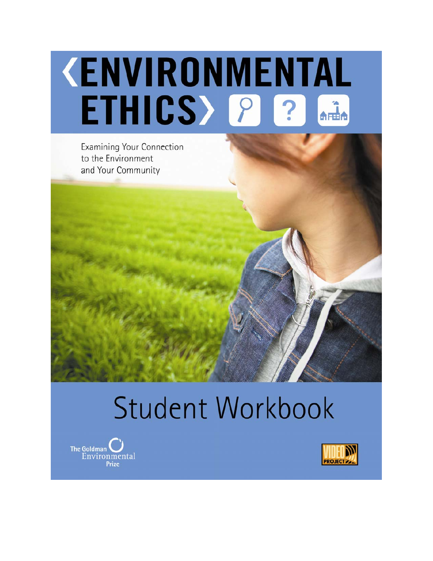# **KENVIRONMENTAL** ETHICS> 2 ?

**Examining Your Connection** to the Environment and Your Community

# Student Workbook



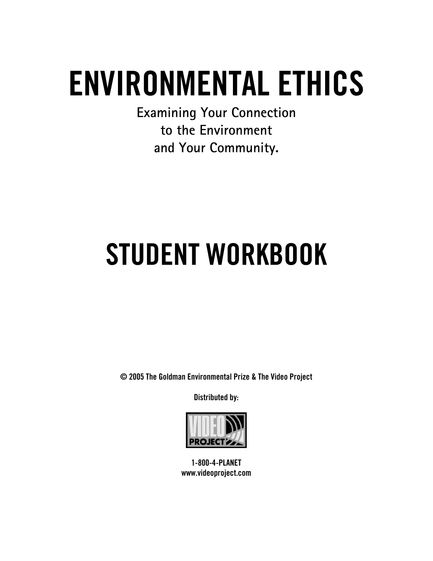# **ENVIRONMENTAL ETHICS**

**Examining Your Connection to the Environment and Your Community.** 

# **STUDENT WORKBOOK**

**© 2005 The Goldman Environmental Prize & The Video Project** 

**Distributed by:** 



**1-800-4-PLANET www.videoproject.com**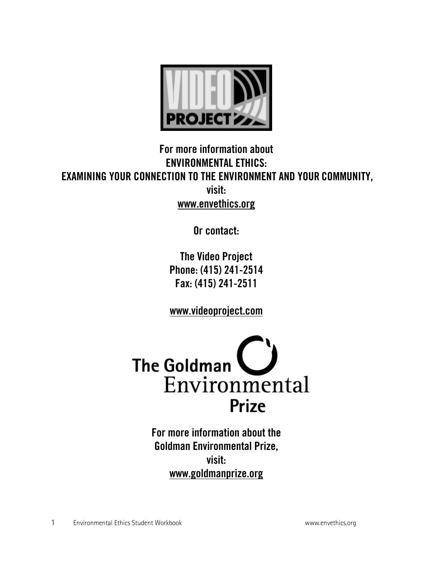

# **For more information about ENVIRONMENTAL ETHICS: EXAMINING YOUR CONNECTION TO THE ENVIRONMENT AND YOUR COMMUNITY, visit: www.envethics.org**

**Or contact:** 

**The Video Project Phone: (415) 241-2514 Fax: (415) 241-2511** 

**www.videoproject.com**



**For more information about the Goldman Environmental Prize, visit: www.goldmanprize.org**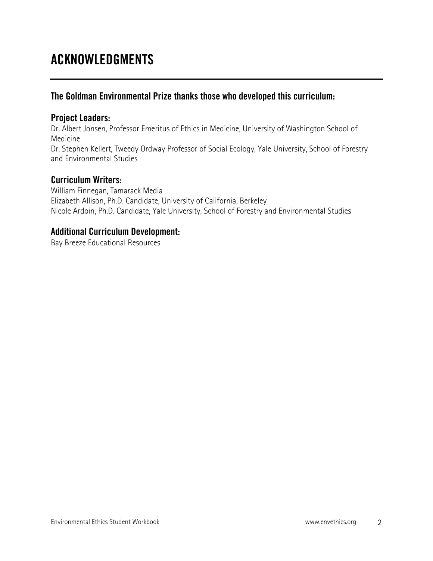# **ACKNOWLEDGMENTS**

# **The Goldman Environmental Prize thanks those who developed this curriculum:**

# **Project Leaders:**

Dr. Albert Jonsen, Professor Emeritus of Ethics in Medicine, University of Washington School of Medicine Dr. Stephen Kellert, Tweedy Ordway Professor of Social Ecology, Yale University, School of Forestry and Environmental Studies

# **Curriculum Writers:**

William Finnegan, Tamarack Media Elizabeth Allison, Ph.D. Candidate, University of California, Berkeley Nicole Ardoin, Ph.D. Candidate, Yale University, School of Forestry and Environmental Studies

# **Additional Curriculum Development:**

Bay Breeze Educational Resources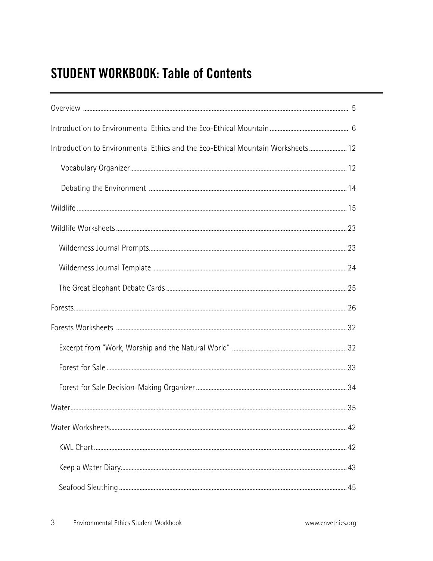# **STUDENT WORKBOOK: Table of Contents**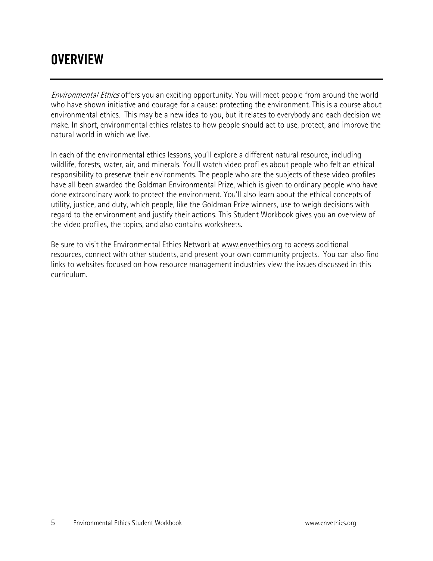# **OVERVIEW**

Environmental Ethics offers you an exciting opportunity. You will meet people from around the world who have shown initiative and courage for a cause: protecting the environment. This is a course about environmental ethics. This may be a new idea to you, but it relates to everybody and each decision we make. In short, environmental ethics relates to how people should act to use, protect, and improve the natural world in which we live.

In each of the environmental ethics lessons, you'll explore a different natural resource, including wildlife, forests, water, air, and minerals. You'll watch video profiles about people who felt an ethical responsibility to preserve their environments. The people who are the subjects of these video profiles have all been awarded the Goldman Environmental Prize, which is given to ordinary people who have done extraordinary work to protect the environment. You'll also learn about the ethical concepts of utility, justice, and duty, which people, like the Goldman Prize winners, use to weigh decisions with regard to the environment and justify their actions. This Student Workbook gives you an overview of the video profiles, the topics, and also contains worksheets.

Be sure to visit the Environmental Ethics Network at www.envethics.org to access additional resources, connect with other students, and present your own community projects. You can also find links to websites focused on how resource management industries view the issues discussed in this curriculum.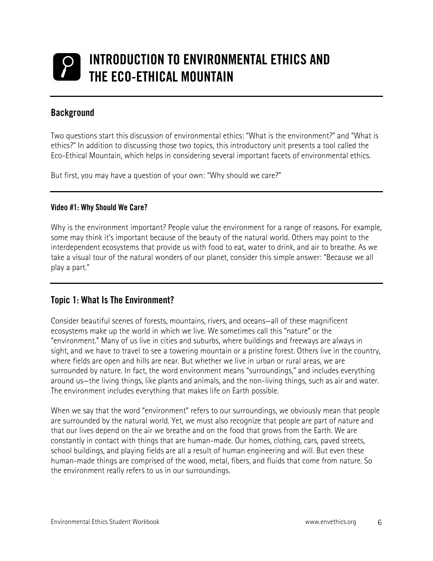

# **INTRODUCTION TO ENVIRONMENTAL ETHICS AND THE ECO-ETHICAL MOUNTAIN**

# **Background**

Two questions start this discussion of environmental ethics: "What is the environment?" and "What is ethics?" In addition to discussing those two topics, this introductory unit presents a tool called the Eco-Ethical Mountain, which helps in considering several important facets of environmental ethics.

But first, you may have a question of your own: "Why should we care?"

## **Video #1: Why Should We Care?**

Why is the environment important? People value the environment for a range of reasons. For example, some may think it's important because of the beauty of the natural world. Others may point to the interdependent ecosystems that provide us with food to eat, water to drink, and air to breathe. As we take a visual tour of the natural wonders of our planet, consider this simple answer: "Because we all play a part."

# **Topic 1: What Is The Environment?**

Consider beautiful scenes of forests, mountains, rivers, and oceans—all of these magnificent ecosystems make up the world in which we live. We sometimes call this "nature" or the "environment." Many of us live in cities and suburbs, where buildings and freeways are always in sight, and we have to travel to see a towering mountain or a pristine forest. Others live in the country, where fields are open and hills are near. But whether we live in urban or rural areas, we are surrounded by nature. In fact, the word environment means "surroundings," and includes everything around us—the living things, like plants and animals, and the non-living things, such as air and water. The environment includes everything that makes life on Earth possible.

When we say that the word "environment" refers to our surroundings, we obviously mean that people are surrounded by the natural world. Yet, we must also recognize that people are part of nature and that our lives depend on the air we breathe and on the food that grows from the Earth. We are constantly in contact with things that are human-made. Our homes, clothing, cars, paved streets, school buildings, and playing fields are all a result of human engineering and will. But even these human-made things are comprised of the wood, metal, fibers, and fluids that come from nature. So the environment really refers to us in our surroundings.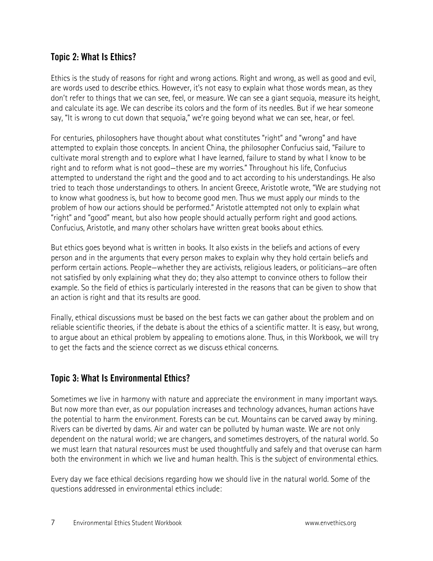# **Topic 2: What Is Ethics?**

Ethics is the study of reasons for right and wrong actions. Right and wrong, as well as good and evil, are words used to describe ethics. However, it's not easy to explain what those words mean, as they don't refer to things that we can see, feel, or measure. We can see a giant sequoia, measure its height, and calculate its age. We can describe its colors and the form of its needles. But if we hear someone say, "It is wrong to cut down that sequoia," we're going beyond what we can see, hear, or feel.

For centuries, philosophers have thought about what constitutes "right" and "wrong" and have attempted to explain those concepts. In ancient China, the philosopher Confucius said, "Failure to cultivate moral strength and to explore what I have learned, failure to stand by what I know to be right and to reform what is not good—these are my worries." Throughout his life, Confucius attempted to understand the right and the good and to act according to his understandings. He also tried to teach those understandings to others. In ancient Greece, Aristotle wrote, "We are studying not to know what goodness is, but how to become good men. Thus we must apply our minds to the problem of how our actions should be performed." Aristotle attempted not only to explain what "right" and "good" meant, but also how people should actually perform right and good actions. Confucius, Aristotle, and many other scholars have written great books about ethics.

But ethics goes beyond what is written in books. It also exists in the beliefs and actions of every person and in the arguments that every person makes to explain why they hold certain beliefs and perform certain actions. People—whether they are activists, religious leaders, or politicians—are often not satisfied by only explaining what they do; they also attempt to convince others to follow their example. So the field of ethics is particularly interested in the reasons that can be given to show that an action is right and that its results are good.

Finally, ethical discussions must be based on the best facts we can gather about the problem and on reliable scientific theories, if the debate is about the ethics of a scientific matter. It is easy, but wrong, to argue about an ethical problem by appealing to emotions alone. Thus, in this Workbook, we will try to get the facts and the science correct as we discuss ethical concerns.

# **Topic 3: What Is Environmental Ethics?**

Sometimes we live in harmony with nature and appreciate the environment in many important ways. But now more than ever, as our population increases and technology advances, human actions have the potential to harm the environment. Forests can be cut. Mountains can be carved away by mining. Rivers can be diverted by dams. Air and water can be polluted by human waste. We are not only dependent on the natural world; we are changers, and sometimes destroyers, of the natural world. So we must learn that natural resources must be used thoughtfully and safely and that overuse can harm both the environment in which we live and human health. This is the subject of environmental ethics.

Every day we face ethical decisions regarding how we should live in the natural world. Some of the questions addressed in environmental ethics include: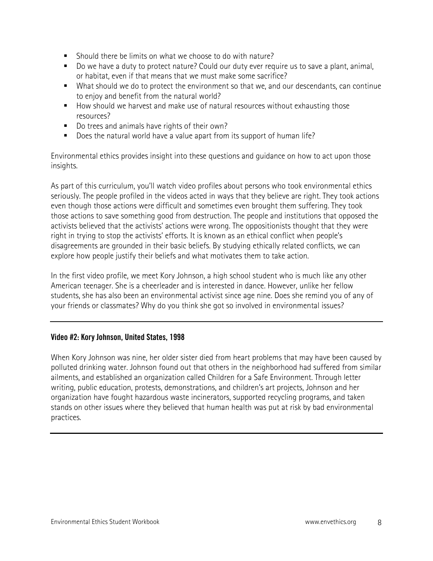- Should there be limits on what we choose to do with nature?
- Do we have a duty to protect nature? Could our duty ever require us to save a plant, animal, or habitat, even if that means that we must make some sacrifice?
- What should we do to protect the environment so that we, and our descendants, can continue to enjoy and benefit from the natural world?
- How should we harvest and make use of natural resources without exhausting those resources?
- Do trees and animals have rights of their own?
- Does the natural world have a value apart from its support of human life?

Environmental ethics provides insight into these questions and guidance on how to act upon those insights.

As part of this curriculum, you'll watch video profiles about persons who took environmental ethics seriously. The people profiled in the videos acted in ways that they believe are right. They took actions even though those actions were difficult and sometimes even brought them suffering. They took those actions to save something good from destruction. The people and institutions that opposed the activists believed that the activists' actions were wrong. The oppositionists thought that they were right in trying to stop the activists' efforts. It is known as an ethical conflict when people's disagreements are grounded in their basic beliefs. By studying ethically related conflicts, we can explore how people justify their beliefs and what motivates them to take action.

In the first video profile, we meet Kory Johnson, a high school student who is much like any other American teenager. She is a cheerleader and is interested in dance. However, unlike her fellow students, she has also been an environmental activist since age nine. Does she remind you of any of your friends or classmates? Why do you think she got so involved in environmental issues?

### **Video #2: Kory Johnson, United States, 1998**

When Kory Johnson was nine, her older sister died from heart problems that may have been caused by polluted drinking water. Johnson found out that others in the neighborhood had suffered from similar ailments, and established an organization called Children for a Safe Environment. Through letter writing, public education, protests, demonstrations, and children's art projects, Johnson and her organization have fought hazardous waste incinerators, supported recycling programs, and taken stands on other issues where they believed that human health was put at risk by bad environmental practices.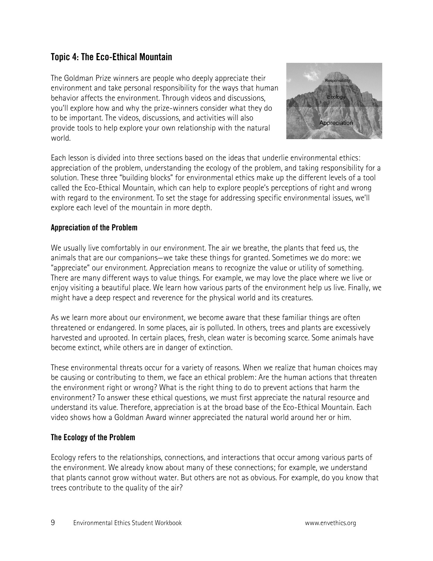# **Topic 4: The Eco-Ethical Mountain**

The Goldman Prize winners are people who deeply appreciate their environment and take personal responsibility for the ways that human behavior affects the environment. Through videos and discussions, you'll explore how and why the prize-winners consider what they do to be important. The videos, discussions, and activities will also provide tools to help explore your own relationship with the natural world.



Each lesson is divided into three sections based on the ideas that underlie environmental ethics: appreciation of the problem, understanding the ecology of the problem, and taking responsibility for a solution. These three "building blocks" for environmental ethics make up the different levels of a tool called the Eco-Ethical Mountain, which can help to explore people's perceptions of right and wrong with regard to the environment. To set the stage for addressing specific environmental issues, we'll explore each level of the mountain in more depth.

### **Appreciation of the Problem**

We usually live comfortably in our environment. The air we breathe, the plants that feed us, the animals that are our companions—we take these things for granted. Sometimes we do more: we "appreciate" our environment. Appreciation means to recognize the value or utility of something. There are many different ways to value things. For example, we may love the place where we live or enjoy visiting a beautiful place. We learn how various parts of the environment help us live. Finally, we might have a deep respect and reverence for the physical world and its creatures.

As we learn more about our environment, we become aware that these familiar things are often threatened or endangered. In some places, air is polluted. In others, trees and plants are excessively harvested and uprooted. In certain places, fresh, clean water is becoming scarce. Some animals have become extinct, while others are in danger of extinction.

These environmental threats occur for a variety of reasons. When we realize that human choices may be causing or contributing to them, we face an ethical problem: Are the human actions that threaten the environment right or wrong? What is the right thing to do to prevent actions that harm the environment? To answer these ethical questions, we must first appreciate the natural resource and understand its value. Therefore, appreciation is at the broad base of the Eco-Ethical Mountain. Each video shows how a Goldman Award winner appreciated the natural world around her or him.

### **The Ecology of the Problem**

Ecology refers to the relationships, connections, and interactions that occur among various parts of the environment. We already know about many of these connections; for example, we understand that plants cannot grow without water. But others are not as obvious. For example, do you know that trees contribute to the quality of the air?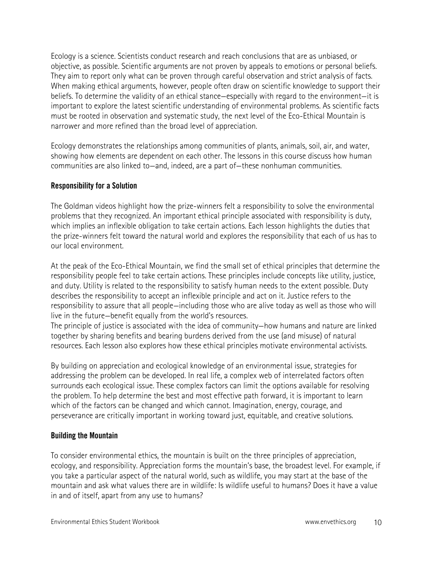Ecology is a science. Scientists conduct research and reach conclusions that are as unbiased, or objective, as possible. Scientific arguments are not proven by appeals to emotions or personal beliefs. They aim to report only what can be proven through careful observation and strict analysis of facts. When making ethical arguments, however, people often draw on scientific knowledge to support their beliefs. To determine the validity of an ethical stance—especially with regard to the environment—it is important to explore the latest scientific understanding of environmental problems. As scientific facts must be rooted in observation and systematic study, the next level of the Eco-Ethical Mountain is narrower and more refined than the broad level of appreciation.

Ecology demonstrates the relationships among communities of plants, animals, soil, air, and water, showing how elements are dependent on each other. The lessons in this course discuss how human communities are also linked to—and, indeed, are a part of—these nonhuman communities.

### **Responsibility for a Solution**

The Goldman videos highlight how the prize-winners felt a responsibility to solve the environmental problems that they recognized. An important ethical principle associated with responsibility is duty, which implies an inflexible obligation to take certain actions. Each lesson highlights the duties that the prize-winners felt toward the natural world and explores the responsibility that each of us has to our local environment.

At the peak of the Eco-Ethical Mountain, we find the small set of ethical principles that determine the responsibility people feel to take certain actions. These principles include concepts like utility, justice, and duty. Utility is related to the responsibility to satisfy human needs to the extent possible. Duty describes the responsibility to accept an inflexible principle and act on it. Justice refers to the responsibility to assure that all people—including those who are alive today as well as those who will live in the future—benefit equally from the world's resources.

The principle of justice is associated with the idea of community—how humans and nature are linked together by sharing benefits and bearing burdens derived from the use (and misuse) of natural resources. Each lesson also explores how these ethical principles motivate environmental activists.

By building on appreciation and ecological knowledge of an environmental issue, strategies for addressing the problem can be developed. In real life, a complex web of interrelated factors often surrounds each ecological issue. These complex factors can limit the options available for resolving the problem. To help determine the best and most effective path forward, it is important to learn which of the factors can be changed and which cannot. Imagination, energy, courage, and perseverance are critically important in working toward just, equitable, and creative solutions.

### **Building the Mountain**

To consider environmental ethics, the mountain is built on the three principles of appreciation, ecology, and responsibility. Appreciation forms the mountain's base, the broadest level. For example, if you take a particular aspect of the natural world, such as wildlife, you may start at the base of the mountain and ask what values there are in wildlife: Is wildlife useful to humans? Does it have a value in and of itself, apart from any use to humans?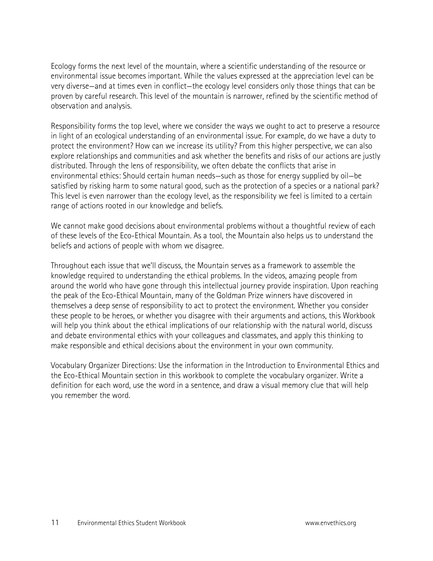Ecology forms the next level of the mountain, where a scientific understanding of the resource or environmental issue becomes important. While the values expressed at the appreciation level can be very diverse—and at times even in conflict—the ecology level considers only those things that can be proven by careful research. This level of the mountain is narrower, refined by the scientific method of observation and analysis.

Responsibility forms the top level, where we consider the ways we ought to act to preserve a resource in light of an ecological understanding of an environmental issue. For example, do we have a duty to protect the environment? How can we increase its utility? From this higher perspective, we can also explore relationships and communities and ask whether the benefits and risks of our actions are justly distributed. Through the lens of responsibility, we often debate the conflicts that arise in environmental ethics: Should certain human needs—such as those for energy supplied by oil—be satisfied by risking harm to some natural good, such as the protection of a species or a national park? This level is even narrower than the ecology level, as the responsibility we feel is limited to a certain range of actions rooted in our knowledge and beliefs.

We cannot make good decisions about environmental problems without a thoughtful review of each of these levels of the Eco-Ethical Mountain. As a tool, the Mountain also helps us to understand the beliefs and actions of people with whom we disagree.

Throughout each issue that we'll discuss, the Mountain serves as a framework to assemble the knowledge required to understanding the ethical problems. In the videos, amazing people from around the world who have gone through this intellectual journey provide inspiration. Upon reaching the peak of the Eco-Ethical Mountain, many of the Goldman Prize winners have discovered in themselves a deep sense of responsibility to act to protect the environment. Whether you consider these people to be heroes, or whether you disagree with their arguments and actions, this Workbook will help you think about the ethical implications of our relationship with the natural world, discuss and debate environmental ethics with your colleagues and classmates, and apply this thinking to make responsible and ethical decisions about the environment in your own community.

Vocabulary Organizer Directions: Use the information in the Introduction to Environmental Ethics and the Eco-Ethical Mountain section in this workbook to complete the vocabulary organizer. Write a definition for each word, use the word in a sentence, and draw a visual memory clue that will help you remember the word.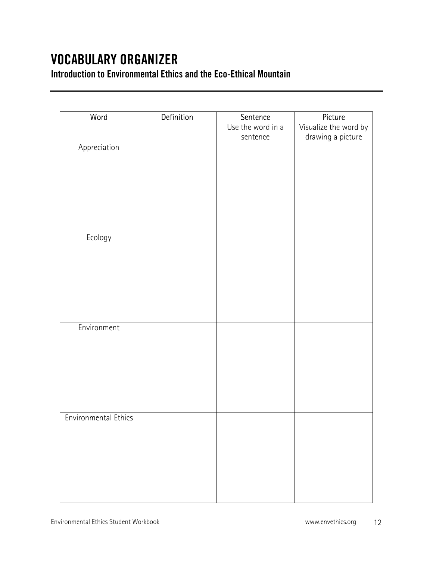# **VOCABULARY ORGANIZER**

**Introduction to Environmental Ethics and the Eco-Ethical Mountain** 

| Word                 | <b>Definition</b> | Sentence          | Picture               |
|----------------------|-------------------|-------------------|-----------------------|
|                      |                   | Use the word in a | Visualize the word by |
|                      |                   | sentence          | drawing a picture     |
| Appreciation         |                   |                   |                       |
|                      |                   |                   |                       |
|                      |                   |                   |                       |
|                      |                   |                   |                       |
|                      |                   |                   |                       |
|                      |                   |                   |                       |
|                      |                   |                   |                       |
|                      |                   |                   |                       |
|                      |                   |                   |                       |
| Ecology              |                   |                   |                       |
|                      |                   |                   |                       |
|                      |                   |                   |                       |
|                      |                   |                   |                       |
|                      |                   |                   |                       |
|                      |                   |                   |                       |
|                      |                   |                   |                       |
|                      |                   |                   |                       |
| Environment          |                   |                   |                       |
|                      |                   |                   |                       |
|                      |                   |                   |                       |
|                      |                   |                   |                       |
|                      |                   |                   |                       |
|                      |                   |                   |                       |
|                      |                   |                   |                       |
|                      |                   |                   |                       |
|                      |                   |                   |                       |
| Environmental Ethics |                   |                   |                       |
|                      |                   |                   |                       |
|                      |                   |                   |                       |
|                      |                   |                   |                       |
|                      |                   |                   |                       |
|                      |                   |                   |                       |
|                      |                   |                   |                       |
|                      |                   |                   |                       |
|                      |                   |                   |                       |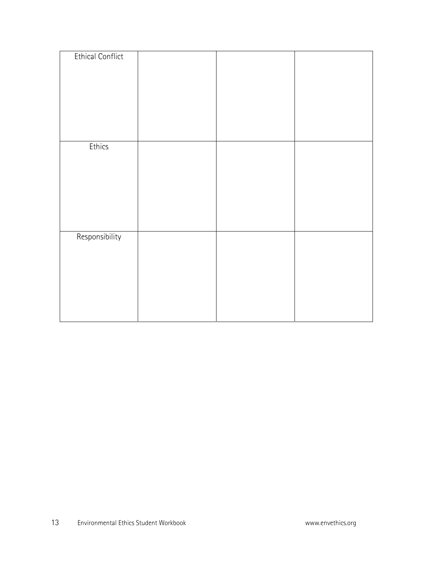| Ethical Conflict |  |  |
|------------------|--|--|
|                  |  |  |
|                  |  |  |
|                  |  |  |
|                  |  |  |
|                  |  |  |
|                  |  |  |
|                  |  |  |
|                  |  |  |
|                  |  |  |
|                  |  |  |
|                  |  |  |
|                  |  |  |
|                  |  |  |
|                  |  |  |
| <b>Ethics</b>    |  |  |
|                  |  |  |
|                  |  |  |
|                  |  |  |
|                  |  |  |
|                  |  |  |
|                  |  |  |
|                  |  |  |
|                  |  |  |
|                  |  |  |
|                  |  |  |
|                  |  |  |
|                  |  |  |
|                  |  |  |
|                  |  |  |
|                  |  |  |
| Responsibility   |  |  |
|                  |  |  |
|                  |  |  |
|                  |  |  |
|                  |  |  |
|                  |  |  |
|                  |  |  |
|                  |  |  |
|                  |  |  |
|                  |  |  |
|                  |  |  |
|                  |  |  |
|                  |  |  |
|                  |  |  |
|                  |  |  |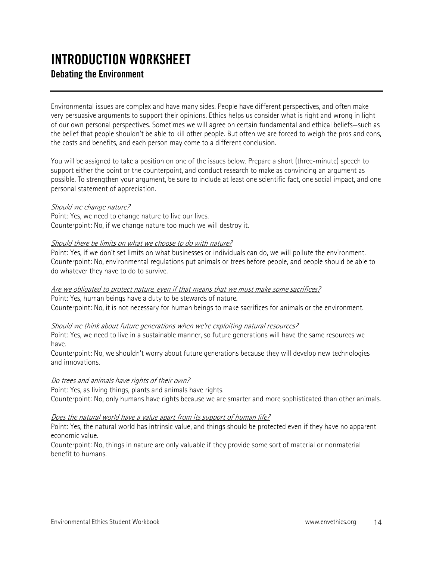# **INTRODUCTION WORKSHEET Debating the Environment**

Environmental issues are complex and have many sides. People have different perspectives, and often make very persuasive arguments to support their opinions. Ethics helps us consider what is right and wrong in light of our own personal perspectives. Sometimes we will agree on certain fundamental and ethical beliefs—such as the belief that people shouldn't be able to kill other people. But often we are forced to weigh the pros and cons, the costs and benefits, and each person may come to a different conclusion.

You will be assigned to take a position on one of the issues below. Prepare a short (three-minute) speech to support either the point or the counterpoint, and conduct research to make as convincing an argument as possible. To strengthen your argument, be sure to include at least one scientific fact, one social impact, and one personal statement of appreciation.

#### Should we change nature?

Point: Yes, we need to change nature to live our lives. Counterpoint: No, if we change nature too much we will destroy it.

#### Should there be limits on what we choose to do with nature?

Point: Yes, if we don't set limits on what businesses or individuals can do, we will pollute the environment. Counterpoint: No, environmental regulations put animals or trees before people, and people should be able to do whatever they have to do to survive.

#### Are we obligated to protect nature, even if that means that we must make some sacrifices? Point: Yes, human beings have a duty to be stewards of nature.

Counterpoint: No, it is not necessary for human beings to make sacrifices for animals or the environment.

#### Should we think about future generations when we're exploiting natural resources?

Point: Yes, we need to live in a sustainable manner, so future generations will have the same resources we have.

Counterpoint: No, we shouldn't worry about future generations because they will develop new technologies and innovations.

#### Do trees and animals have rights of their own?

Point: Yes, as living things, plants and animals have rights. Counterpoint: No, only humans have rights because we are smarter and more sophisticated than other animals.

#### Does the natural world have a value apart from its support of human life?

Point: Yes, the natural world has intrinsic value, and things should be protected even if they have no apparent economic value.

Counterpoint: No, things in nature are only valuable if they provide some sort of material or nonmaterial benefit to humans.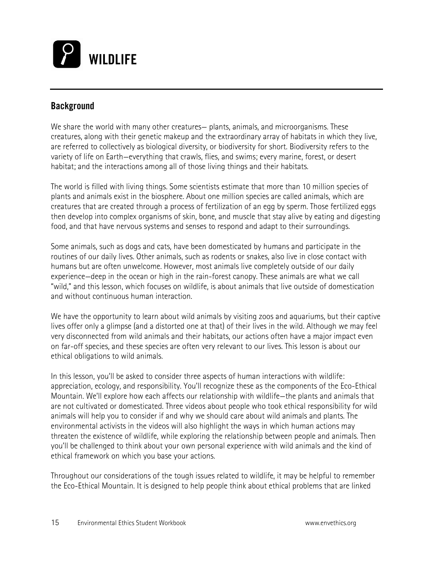

# **Background**

We share the world with many other creatures— plants, animals, and microorganisms. These creatures, along with their genetic makeup and the extraordinary array of habitats in which they live, are referred to collectively as biological diversity, or biodiversity for short. Biodiversity refers to the variety of life on Earth—everything that crawls, flies, and swims; every marine, forest, or desert habitat; and the interactions among all of those living things and their habitats.

The world is filled with living things. Some scientists estimate that more than 10 million species of plants and animals exist in the biosphere. About one million species are called animals, which are creatures that are created through a process of fertilization of an egg by sperm. Those fertilized eggs then develop into complex organisms of skin, bone, and muscle that stay alive by eating and digesting food, and that have nervous systems and senses to respond and adapt to their surroundings.

Some animals, such as dogs and cats, have been domesticated by humans and participate in the routines of our daily lives. Other animals, such as rodents or snakes, also live in close contact with humans but are often unwelcome. However, most animals live completely outside of our daily experience—deep in the ocean or high in the rain-forest canopy. These animals are what we call "wild," and this lesson, which focuses on wildlife, is about animals that live outside of domestication and without continuous human interaction.

We have the opportunity to learn about wild animals by visiting zoos and aquariums, but their captive lives offer only a glimpse (and a distorted one at that) of their lives in the wild. Although we may feel very disconnected from wild animals and their habitats, our actions often have a major impact even on far-off species, and these species are often very relevant to our lives. This lesson is about our ethical obligations to wild animals.

In this lesson, you'll be asked to consider three aspects of human interactions with wildlife: appreciation, ecology, and responsibility. You'll recognize these as the components of the Eco-Ethical Mountain. We'll explore how each affects our relationship with wildlife—the plants and animals that are not cultivated or domesticated. Three videos about people who took ethical responsibility for wild animals will help you to consider if and why we should care about wild animals and plants. The environmental activists in the videos will also highlight the ways in which human actions may threaten the existence of wildlife, while exploring the relationship between people and animals. Then you'll be challenged to think about your own personal experience with wild animals and the kind of ethical framework on which you base your actions.

Throughout our considerations of the tough issues related to wildlife, it may be helpful to remember the Eco-Ethical Mountain. It is designed to help people think about ethical problems that are linked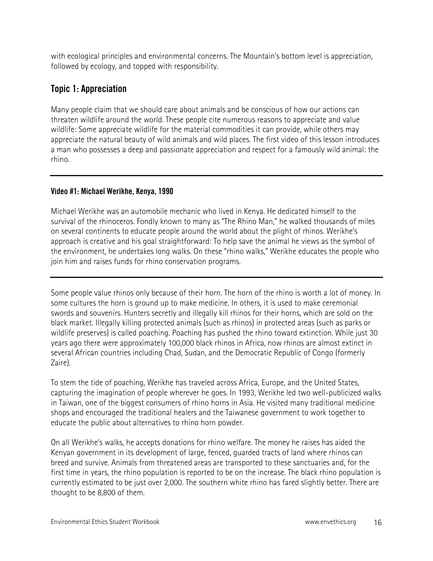with ecological principles and environmental concerns. The Mountain's bottom level is appreciation, followed by ecology, and topped with responsibility.

# **Topic 1: Appreciation**

Many people claim that we should care about animals and be conscious of how our actions can threaten wildlife around the world. These people cite numerous reasons to appreciate and value wildlife: Some appreciate wildlife for the material commodities it can provide, while others may appreciate the natural beauty of wild animals and wild places. The first video of this lesson introduces a man who possesses a deep and passionate appreciation and respect for a famously wild animal: the rhino.

# **Video #1: Michael Werikhe, Kenya, 1990**

Michael Werikhe was an automobile mechanic who lived in Kenya. He dedicated himself to the survival of the rhinoceros. Fondly known to many as "The Rhino Man," he walked thousands of miles on several continents to educate people around the world about the plight of rhinos. Werikhe's approach is creative and his goal straightforward: To help save the animal he views as the symbol of the environment, he undertakes long walks. On these "rhino walks," Werikhe educates the people who join him and raises funds for rhino conservation programs.

Some people value rhinos only because of their horn. The horn of the rhino is worth a lot of money. In some cultures the horn is ground up to make medicine. In others, it is used to make ceremonial swords and souvenirs. Hunters secretly and illegally kill rhinos for their horns, which are sold on the black market. Illegally killing protected animals (such as rhinos) in protected areas (such as parks or wildlife preserves) is called poaching. Poaching has pushed the rhino toward extinction. While just 30 years ago there were approximately 100,000 black rhinos in Africa, now rhinos are almost extinct in several African countries including Chad, Sudan, and the Democratic Republic of Congo (formerly Zaire).

To stem the tide of poaching, Werikhe has traveled across Africa, Europe, and the United States, capturing the imagination of people wherever he goes. In 1993, Werikhe led two well-publicized walks in Taiwan, one of the biggest consumers of rhino horns in Asia. He visited many traditional medicine shops and encouraged the traditional healers and the Taiwanese government to work together to educate the public about alternatives to rhino horn powder.

On all Werikhe's walks, he accepts donations for rhino welfare. The money he raises has aided the Kenyan government in its development of large, fenced, guarded tracts of land where rhinos can breed and survive. Animals from threatened areas are transported to these sanctuaries and, for the first time in years, the rhino population is reported to be on the increase. The black rhino population is currently estimated to be just over 2,000. The southern white rhino has fared slightly better. There are thought to be 8,800 of them.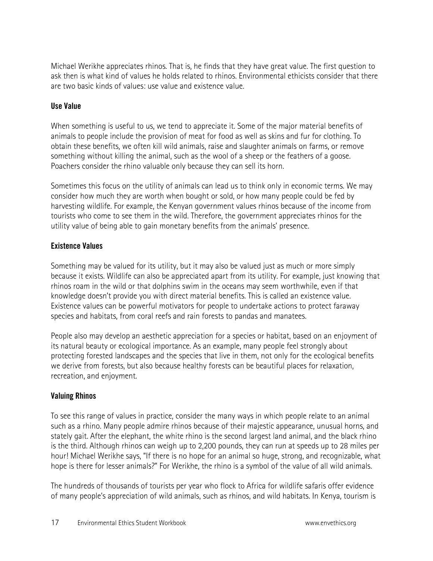Michael Werikhe appreciates rhinos. That is, he finds that they have great value. The first question to ask then is what kind of values he holds related to rhinos. Environmental ethicists consider that there are two basic kinds of values: use value and existence value.

## **Use Value**

When something is useful to us, we tend to appreciate it. Some of the major material benefits of animals to people include the provision of meat for food as well as skins and fur for clothing. To obtain these benefits, we often kill wild animals, raise and slaughter animals on farms, or remove something without killing the animal, such as the wool of a sheep or the feathers of a goose. Poachers consider the rhino valuable only because they can sell its horn.

Sometimes this focus on the utility of animals can lead us to think only in economic terms. We may consider how much they are worth when bought or sold, or how many people could be fed by harvesting wildlife. For example, the Kenyan government values rhinos because of the income from tourists who come to see them in the wild. Therefore, the government appreciates rhinos for the utility value of being able to gain monetary benefits from the animals' presence.

## **Existence Values**

Something may be valued for its utility, but it may also be valued just as much or more simply because it exists. Wildlife can also be appreciated apart from its utility. For example, just knowing that rhinos roam in the wild or that dolphins swim in the oceans may seem worthwhile, even if that knowledge doesn't provide you with direct material benefits. This is called an existence value. Existence values can be powerful motivators for people to undertake actions to protect faraway species and habitats, from coral reefs and rain forests to pandas and manatees.

People also may develop an aesthetic appreciation for a species or habitat, based on an enjoyment of its natural beauty or ecological importance. As an example, many people feel strongly about protecting forested landscapes and the species that live in them, not only for the ecological benefits we derive from forests, but also because healthy forests can be beautiful places for relaxation, recreation, and enjoyment.

# **Valuing Rhinos**

To see this range of values in practice, consider the many ways in which people relate to an animal such as a rhino. Many people admire rhinos because of their majestic appearance, unusual horns, and stately gait. After the elephant, the white rhino is the second largest land animal, and the black rhino is the third. Although rhinos can weigh up to 2,200 pounds, they can run at speeds up to 28 miles per hour! Michael Werikhe says, "If there is no hope for an animal so huge, strong, and recognizable, what hope is there for lesser animals?" For Werikhe, the rhino is a symbol of the value of all wild animals.

The hundreds of thousands of tourists per year who flock to Africa for wildlife safaris offer evidence of many people's appreciation of wild animals, such as rhinos, and wild habitats. In Kenya, tourism is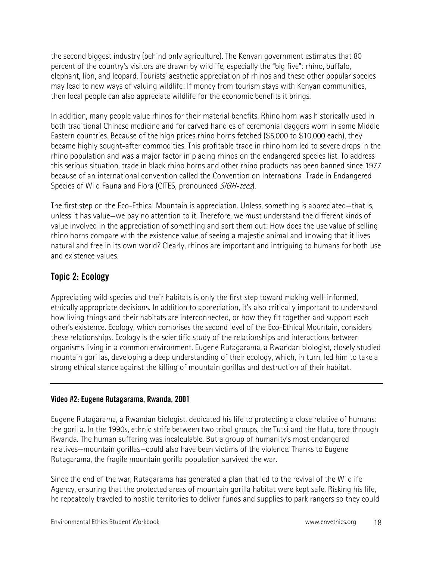the second biggest industry (behind only agriculture). The Kenyan government estimates that 80 percent of the country's visitors are drawn by wildlife, especially the "big five": rhino, buffalo, elephant, lion, and leopard. Tourists' aesthetic appreciation of rhinos and these other popular species may lead to new ways of valuing wildlife: If money from tourism stays with Kenyan communities, then local people can also appreciate wildlife for the economic benefits it brings.

In addition, many people value rhinos for their material benefits. Rhino horn was historically used in both traditional Chinese medicine and for carved handles of ceremonial daggers worn in some Middle Eastern countries. Because of the high prices rhino horns fetched (\$5,000 to \$10,000 each), they became highly sought-after commodities. This profitable trade in rhino horn led to severe drops in the rhino population and was a major factor in placing rhinos on the endangered species list. To address this serious situation, trade in black rhino horns and other rhino products has been banned since 1977 because of an international convention called the Convention on International Trade in Endangered Species of Wild Fauna and Flora (CITES, pronounced SIGH-teez).

The first step on the Eco-Ethical Mountain is appreciation. Unless, something is appreciated—that is, unless it has value—we pay no attention to it. Therefore, we must understand the different kinds of value involved in the appreciation of something and sort them out: How does the use value of selling rhino horns compare with the existence value of seeing a majestic animal and knowing that it lives natural and free in its own world? Clearly, rhinos are important and intriguing to humans for both use and existence values.

# **Topic 2: Ecology**

Appreciating wild species and their habitats is only the first step toward making well-informed, ethically appropriate decisions. In addition to appreciation, it's also critically important to understand how living things and their habitats are interconnected, or how they fit together and support each other's existence. Ecology, which comprises the second level of the Eco-Ethical Mountain, considers these relationships. Ecology is the scientific study of the relationships and interactions between organisms living in a common environment. Eugene Rutagarama, a Rwandan biologist, closely studied mountain gorillas, developing a deep understanding of their ecology, which, in turn, led him to take a strong ethical stance against the killing of mountain gorillas and destruction of their habitat.

### **Video #2: Eugene Rutagarama, Rwanda, 2001**

Eugene Rutagarama, a Rwandan biologist, dedicated his life to protecting a close relative of humans: the gorilla. In the 1990s, ethnic strife between two tribal groups, the Tutsi and the Hutu, tore through Rwanda. The human suffering was incalculable. But a group of humanity's most endangered relatives—mountain gorillas—could also have been victims of the violence. Thanks to Eugene Rutagarama, the fragile mountain gorilla population survived the war.

Since the end of the war, Rutagarama has generated a plan that led to the revival of the Wildlife Agency, ensuring that the protected areas of mountain gorilla habitat were kept safe. Risking his life, he repeatedly traveled to hostile territories to deliver funds and supplies to park rangers so they could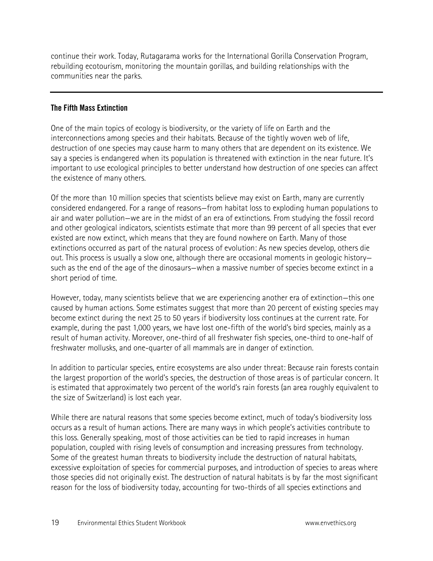continue their work. Today, Rutagarama works for the International Gorilla Conservation Program, rebuilding ecotourism, monitoring the mountain gorillas, and building relationships with the communities near the parks.

# **The Fifth Mass Extinction**

One of the main topics of ecology is biodiversity, or the variety of life on Earth and the interconnections among species and their habitats. Because of the tightly woven web of life, destruction of one species may cause harm to many others that are dependent on its existence. We say a species is endangered when its population is threatened with extinction in the near future. It's important to use ecological principles to better understand how destruction of one species can affect the existence of many others.

Of the more than 10 million species that scientists believe may exist on Earth, many are currently considered endangered. For a range of reasons—from habitat loss to exploding human populations to air and water pollution—we are in the midst of an era of extinctions. From studying the fossil record and other geological indicators, scientists estimate that more than 99 percent of all species that ever existed are now extinct, which means that they are found nowhere on Earth. Many of those extinctions occurred as part of the natural process of evolution: As new species develop, others die out. This process is usually a slow one, although there are occasional moments in geologic history such as the end of the age of the dinosaurs—when a massive number of species become extinct in a short period of time.

However, today, many scientists believe that we are experiencing another era of extinction—this one caused by human actions. Some estimates suggest that more than 20 percent of existing species may become extinct during the next 25 to 50 years if biodiversity loss continues at the current rate. For example, during the past 1,000 years, we have lost one-fifth of the world's bird species, mainly as a result of human activity. Moreover, one-third of all freshwater fish species, one-third to one-half of freshwater mollusks, and one-quarter of all mammals are in danger of extinction.

In addition to particular species, entire ecosystems are also under threat: Because rain forests contain the largest proportion of the world's species, the destruction of those areas is of particular concern. It is estimated that approximately two percent of the world's rain forests (an area roughly equivalent to the size of Switzerland) is lost each year.

While there are natural reasons that some species become extinct, much of today's biodiversity loss occurs as a result of human actions. There are many ways in which people's activities contribute to this loss. Generally speaking, most of those activities can be tied to rapid increases in human population, coupled with rising levels of consumption and increasing pressures from technology. Some of the greatest human threats to biodiversity include the destruction of natural habitats, excessive exploitation of species for commercial purposes, and introduction of species to areas where those species did not originally exist. The destruction of natural habitats is by far the most significant reason for the loss of biodiversity today, accounting for two-thirds of all species extinctions and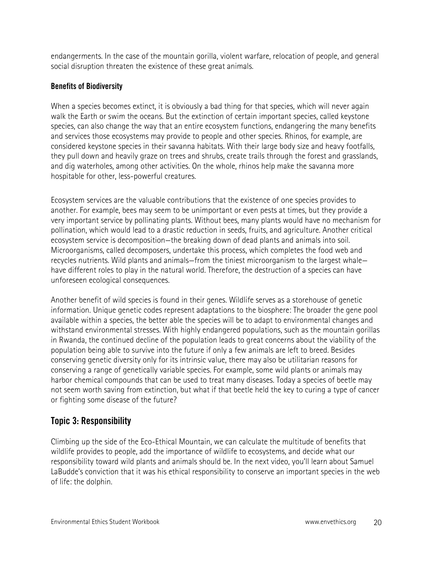endangerments. In the case of the mountain gorilla, violent warfare, relocation of people, and general social disruption threaten the existence of these great animals.

## **Benefits of Biodiversity**

When a species becomes extinct, it is obviously a bad thing for that species, which will never again walk the Earth or swim the oceans. But the extinction of certain important species, called keystone species, can also change the way that an entire ecosystem functions, endangering the many benefits and services those ecosystems may provide to people and other species. Rhinos, for example, are considered keystone species in their savanna habitats. With their large body size and heavy footfalls, they pull down and heavily graze on trees and shrubs, create trails through the forest and grasslands, and dig waterholes, among other activities. On the whole, rhinos help make the savanna more hospitable for other, less-powerful creatures.

Ecosystem services are the valuable contributions that the existence of one species provides to another. For example, bees may seem to be unimportant or even pests at times, but they provide a very important service by pollinating plants. Without bees, many plants would have no mechanism for pollination, which would lead to a drastic reduction in seeds, fruits, and agriculture. Another critical ecosystem service is decomposition—the breaking down of dead plants and animals into soil. Microorganisms, called decomposers, undertake this process, which completes the food web and recycles nutrients. Wild plants and animals—from the tiniest microorganism to the largest whale have different roles to play in the natural world. Therefore, the destruction of a species can have unforeseen ecological consequences.

Another benefit of wild species is found in their genes. Wildlife serves as a storehouse of genetic information. Unique genetic codes represent adaptations to the biosphere: The broader the gene pool available within a species, the better able the species will be to adapt to environmental changes and withstand environmental stresses. With highly endangered populations, such as the mountain gorillas in Rwanda, the continued decline of the population leads to great concerns about the viability of the population being able to survive into the future if only a few animals are left to breed. Besides conserving genetic diversity only for its intrinsic value, there may also be utilitarian reasons for conserving a range of genetically variable species. For example, some wild plants or animals may harbor chemical compounds that can be used to treat many diseases. Today a species of beetle may not seem worth saving from extinction, but what if that beetle held the key to curing a type of cancer or fighting some disease of the future?

# **Topic 3: Responsibility**

Climbing up the side of the Eco-Ethical Mountain, we can calculate the multitude of benefits that wildlife provides to people, add the importance of wildlife to ecosystems, and decide what our responsibility toward wild plants and animals should be. In the next video, you'll learn about Samuel LaBudde's conviction that it was his ethical responsibility to conserve an important species in the web of life: the dolphin.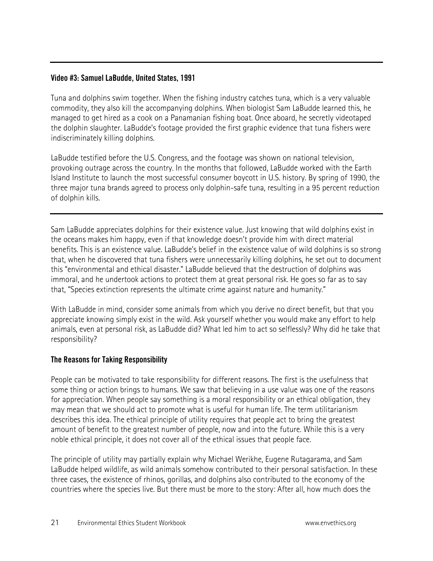## **Video #3: Samuel LaBudde, United States, 1991**

Tuna and dolphins swim together. When the fishing industry catches tuna, which is a very valuable commodity, they also kill the accompanying dolphins. When biologist Sam LaBudde learned this, he managed to get hired as a cook on a Panamanian fishing boat. Once aboard, he secretly videotaped the dolphin slaughter. LaBudde's footage provided the first graphic evidence that tuna fishers were indiscriminately killing dolphins.

LaBudde testified before the U.S. Congress, and the footage was shown on national television, provoking outrage across the country. In the months that followed, LaBudde worked with the Earth Island Institute to launch the most successful consumer boycott in U.S. history. By spring of 1990, the three major tuna brands agreed to process only dolphin-safe tuna, resulting in a 95 percent reduction of dolphin kills.

Sam LaBudde appreciates dolphins for their existence value. Just knowing that wild dolphins exist in the oceans makes him happy, even if that knowledge doesn't provide him with direct material benefits. This is an existence value. LaBudde's belief in the existence value of wild dolphins is so strong that, when he discovered that tuna fishers were unnecessarily killing dolphins, he set out to document this "environmental and ethical disaster." LaBudde believed that the destruction of dolphins was immoral, and he undertook actions to protect them at great personal risk. He goes so far as to say that, "Species extinction represents the ultimate crime against nature and humanity."

With LaBudde in mind, consider some animals from which you derive no direct benefit, but that you appreciate knowing simply exist in the wild. Ask yourself whether you would make any effort to help animals, even at personal risk, as LaBudde did? What led him to act so selflessly? Why did he take that responsibility?

# **The Reasons for Taking Responsibility**

People can be motivated to take responsibility for different reasons. The first is the usefulness that some thing or action brings to humans. We saw that believing in a use value was one of the reasons for appreciation. When people say something is a moral responsibility or an ethical obligation, they may mean that we should act to promote what is useful for human life. The term utilitarianism describes this idea. The ethical principle of utility requires that people act to bring the greatest amount of benefit to the greatest number of people, now and into the future. While this is a very noble ethical principle, it does not cover all of the ethical issues that people face.

The principle of utility may partially explain why Michael Werikhe, Eugene Rutagarama, and Sam LaBudde helped wildlife, as wild animals somehow contributed to their personal satisfaction. In these three cases, the existence of rhinos, gorillas, and dolphins also contributed to the economy of the countries where the species live. But there must be more to the story: After all, how much does the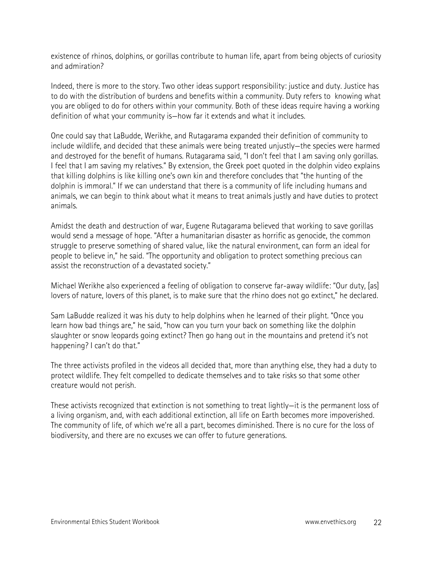existence of rhinos, dolphins, or gorillas contribute to human life, apart from being objects of curiosity and admiration?

Indeed, there is more to the story. Two other ideas support responsibility: justice and duty. Justice has to do with the distribution of burdens and benefits within a community. Duty refers to knowing what you are obliged to do for others within your community. Both of these ideas require having a working definition of what your community is—how far it extends and what it includes.

One could say that LaBudde, Werikhe, and Rutagarama expanded their definition of community to include wildlife, and decided that these animals were being treated unjustly—the species were harmed and destroyed for the benefit of humans. Rutagarama said, "I don't feel that I am saving only gorillas. I feel that I am saving my relatives." By extension, the Greek poet quoted in the dolphin video explains that killing dolphins is like killing one's own kin and therefore concludes that "the hunting of the dolphin is immoral." If we can understand that there is a community of life including humans and animals, we can begin to think about what it means to treat animals justly and have duties to protect animals.

Amidst the death and destruction of war, Eugene Rutagarama believed that working to save gorillas would send a message of hope. "After a humanitarian disaster as horrific as genocide, the common struggle to preserve something of shared value, like the natural environment, can form an ideal for people to believe in," he said. "The opportunity and obligation to protect something precious can assist the reconstruction of a devastated society."

Michael Werikhe also experienced a feeling of obligation to conserve far-away wildlife: "Our duty, [as] lovers of nature, lovers of this planet, is to make sure that the rhino does not go extinct," he declared.

Sam LaBudde realized it was his duty to help dolphins when he learned of their plight. "Once you learn how bad things are," he said, "how can you turn your back on something like the dolphin slaughter or snow leopards going extinct? Then go hang out in the mountains and pretend it's not happening? I can't do that."

The three activists profiled in the videos all decided that, more than anything else, they had a duty to protect wildlife. They felt compelled to dedicate themselves and to take risks so that some other creature would not perish.

These activists recognized that extinction is not something to treat lightly—it is the permanent loss of a living organism, and, with each additional extinction, all life on Earth becomes more impoverished. The community of life, of which we're all a part, becomes diminished. There is no cure for the loss of biodiversity, and there are no excuses we can offer to future generations.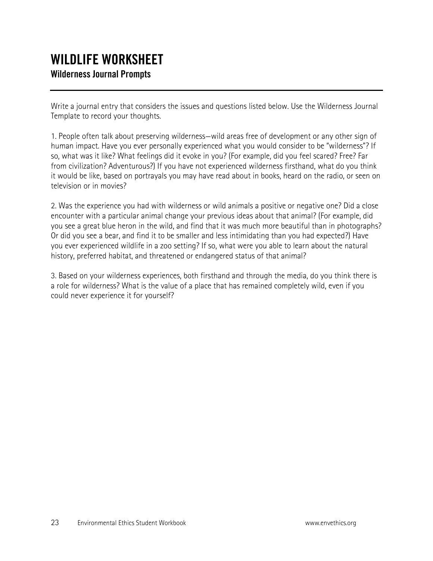# **WILDLIFE WORKSHEET Wilderness Journal Prompts**

Write a journal entry that considers the issues and questions listed below. Use the Wilderness Journal Template to record your thoughts.

1. People often talk about preserving wilderness—wild areas free of development or any other sign of human impact. Have you ever personally experienced what you would consider to be "wilderness"? If so, what was it like? What feelings did it evoke in you? (For example, did you feel scared? Free? Far from civilization? Adventurous?) If you have not experienced wilderness firsthand, what do you think it would be like, based on portrayals you may have read about in books, heard on the radio, or seen on television or in movies?

2. Was the experience you had with wilderness or wild animals a positive or negative one? Did a close encounter with a particular animal change your previous ideas about that animal? (For example, did you see a great blue heron in the wild, and find that it was much more beautiful than in photographs? Or did you see a bear, and find it to be smaller and less intimidating than you had expected?) Have you ever experienced wildlife in a zoo setting? If so, what were you able to learn about the natural history, preferred habitat, and threatened or endangered status of that animal?

3. Based on your wilderness experiences, both firsthand and through the media, do you think there is a role for wilderness? What is the value of a place that has remained completely wild, even if you could never experience it for yourself?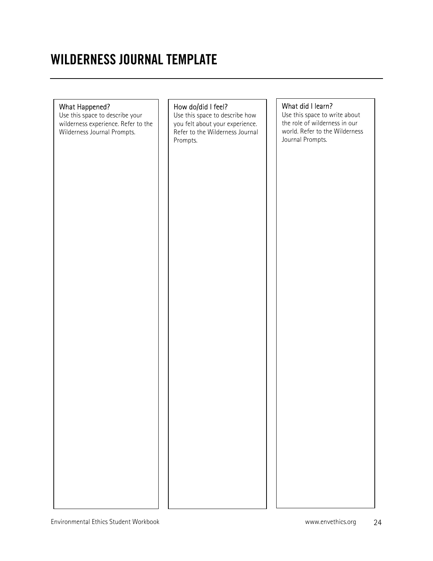# **WILDERNESS JOURNAL TEMPLATE**

#### What Happened?

Use this space to describe your wilderness experience. Refer to the Wilderness Journal Prompts.

## How do/did I feel?

Use this space to describe how you felt about your experience. Refer to the Wilderness Journal Prompts.

#### What did I learn?

Use this space to write about the role of wilderness in our world. Refer to the Wilderness Journal Prompts.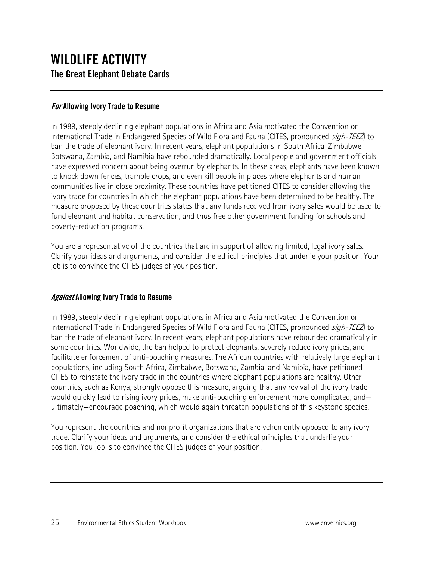# **WILDLIFE ACTIVITY The Great Elephant Debate Cards**

## **For Allowing Ivory Trade to Resume**

In 1989, steeply declining elephant populations in Africa and Asia motivated the Convention on International Trade in Endangered Species of Wild Flora and Fauna (CITES, pronounced sigh-TEEZ) to ban the trade of elephant ivory. In recent years, elephant populations in South Africa, Zimbabwe, Botswana, Zambia, and Namibia have rebounded dramatically. Local people and government officials have expressed concern about being overrun by elephants. In these areas, elephants have been known to knock down fences, trample crops, and even kill people in places where elephants and human communities live in close proximity. These countries have petitioned CITES to consider allowing the ivory trade for countries in which the elephant populations have been determined to be healthy. The measure proposed by these countries states that any funds received from ivory sales would be used to fund elephant and habitat conservation, and thus free other government funding for schools and poverty-reduction programs.

You are a representative of the countries that are in support of allowing limited, legal ivory sales. Clarify your ideas and arguments, and consider the ethical principles that underlie your position. Your job is to convince the CITES judges of your position.

### **Against Allowing Ivory Trade to Resume**

In 1989, steeply declining elephant populations in Africa and Asia motivated the Convention on International Trade in Endangered Species of Wild Flora and Fauna (CITES, pronounced sigh-TEEZ) to ban the trade of elephant ivory. In recent years, elephant populations have rebounded dramatically in some countries. Worldwide, the ban helped to protect elephants, severely reduce ivory prices, and facilitate enforcement of anti-poaching measures. The African countries with relatively large elephant populations, including South Africa, Zimbabwe, Botswana, Zambia, and Namibia, have petitioned CITES to reinstate the ivory trade in the countries where elephant populations are healthy. Other countries, such as Kenya, strongly oppose this measure, arguing that any revival of the ivory trade would quickly lead to rising ivory prices, make anti-poaching enforcement more complicated, and ultimately—encourage poaching, which would again threaten populations of this keystone species.

You represent the countries and nonprofit organizations that are vehemently opposed to any ivory trade. Clarify your ideas and arguments, and consider the ethical principles that underlie your position. You job is to convince the CITES judges of your position.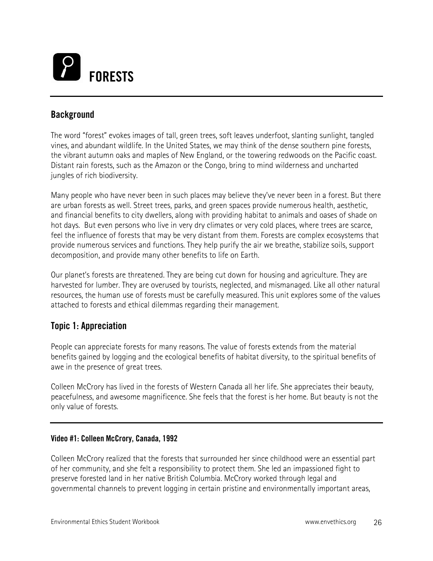

# **Background**

The word "forest" evokes images of tall, green trees, soft leaves underfoot, slanting sunlight, tangled vines, and abundant wildlife. In the United States, we may think of the dense southern pine forests, the vibrant autumn oaks and maples of New England, or the towering redwoods on the Pacific coast. Distant rain forests, such as the Amazon or the Congo, bring to mind wilderness and uncharted jungles of rich biodiversity.

Many people who have never been in such places may believe they've never been in a forest. But there are urban forests as well. Street trees, parks, and green spaces provide numerous health, aesthetic, and financial benefits to city dwellers, along with providing habitat to animals and oases of shade on hot days. But even persons who live in very dry climates or very cold places, where trees are scarce, feel the influence of forests that may be very distant from them. Forests are complex ecosystems that provide numerous services and functions. They help purify the air we breathe, stabilize soils, support decomposition, and provide many other benefits to life on Earth.

Our planet's forests are threatened. They are being cut down for housing and agriculture. They are harvested for lumber. They are overused by tourists, neglected, and mismanaged. Like all other natural resources, the human use of forests must be carefully measured. This unit explores some of the values attached to forests and ethical dilemmas regarding their management.

# **Topic 1: Appreciation**

People can appreciate forests for many reasons. The value of forests extends from the material benefits gained by logging and the ecological benefits of habitat diversity, to the spiritual benefits of awe in the presence of great trees.

Colleen McCrory has lived in the forests of Western Canada all her life. She appreciates their beauty, peacefulness, and awesome magnificence. She feels that the forest is her home. But beauty is not the only value of forests.

### **Video #1: Colleen McCrory, Canada, 1992**

Colleen McCrory realized that the forests that surrounded her since childhood were an essential part of her community, and she felt a responsibility to protect them. She led an impassioned fight to preserve forested land in her native British Columbia. McCrory worked through legal and governmental channels to prevent logging in certain pristine and environmentally important areas,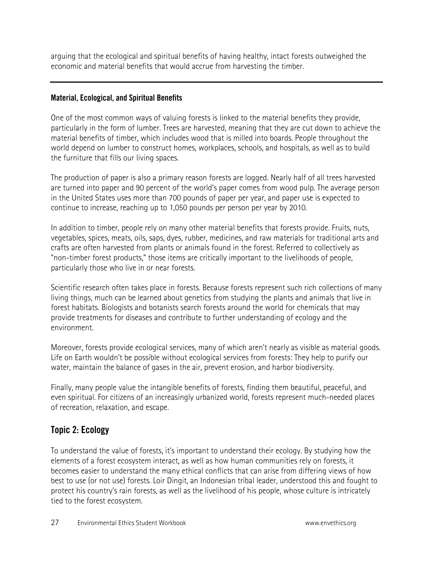arguing that the ecological and spiritual benefits of having healthy, intact forests outweighed the economic and material benefits that would accrue from harvesting the timber.

# **Material, Ecological, and Spiritual Benefits**

One of the most common ways of valuing forests is linked to the material benefits they provide, particularly in the form of lumber. Trees are harvested, meaning that they are cut down to achieve the material benefits of timber, which includes wood that is milled into boards. People throughout the world depend on lumber to construct homes, workplaces, schools, and hospitals, as well as to build the furniture that fills our living spaces.

The production of paper is also a primary reason forests are logged. Nearly half of all trees harvested are turned into paper and 90 percent of the world's paper comes from wood pulp. The average person in the United States uses more than 700 pounds of paper per year, and paper use is expected to continue to increase, reaching up to 1,050 pounds per person per year by 2010.

In addition to timber, people rely on many other material benefits that forests provide. Fruits, nuts, vegetables, spices, meats, oils, saps, dyes, rubber, medicines, and raw materials for traditional arts and crafts are often harvested from plants or animals found in the forest. Referred to collectively as "non-timber forest products," those items are critically important to the livelihoods of people, particularly those who live in or near forests.

Scientific research often takes place in forests. Because forests represent such rich collections of many living things, much can be learned about genetics from studying the plants and animals that live in forest habitats. Biologists and botanists search forests around the world for chemicals that may provide treatments for diseases and contribute to further understanding of ecology and the environment.

Moreover, forests provide ecological services, many of which aren't nearly as visible as material goods. Life on Earth wouldn't be possible without ecological services from forests: They help to purify our water, maintain the balance of gases in the air, prevent erosion, and harbor biodiversity.

Finally, many people value the intangible benefits of forests, finding them beautiful, peaceful, and even spiritual. For citizens of an increasingly urbanized world, forests represent much-needed places of recreation, relaxation, and escape.

# **Topic 2: Ecology**

To understand the value of forests, it's important to understand their ecology. By studying how the elements of a forest ecosystem interact, as well as how human communities rely on forests, it becomes easier to understand the many ethical conflicts that can arise from differing views of how best to use (or not use) forests. Loir Dingit, an Indonesian tribal leader, understood this and fought to protect his country's rain forests, as well as the livelihood of his people, whose culture is intricately tied to the forest ecosystem.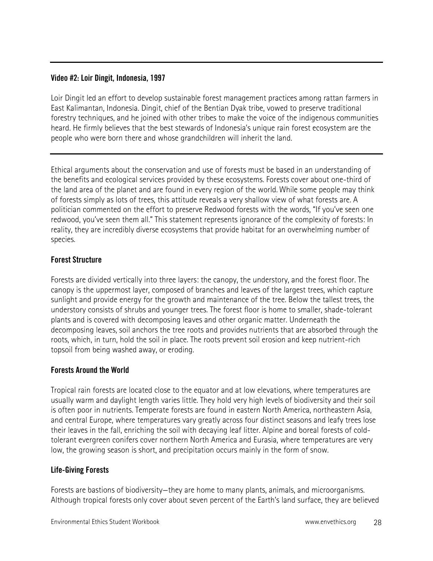### **Video #2: Loir Dingit, Indonesia, 1997**

Loir Dingit led an effort to develop sustainable forest management practices among rattan farmers in East Kalimantan, Indonesia. Dingit, chief of the Bentian Dyak tribe, vowed to preserve traditional forestry techniques, and he joined with other tribes to make the voice of the indigenous communities heard. He firmly believes that the best stewards of Indonesia's unique rain forest ecosystem are the people who were born there and whose grandchildren will inherit the land.

Ethical arguments about the conservation and use of forests must be based in an understanding of the benefits and ecological services provided by these ecosystems. Forests cover about one-third of the land area of the planet and are found in every region of the world. While some people may think of forests simply as lots of trees, this attitude reveals a very shallow view of what forests are. A politician commented on the effort to preserve Redwood forests with the words, "If you've seen one redwood, you've seen them all." This statement represents ignorance of the complexity of forests: In reality, they are incredibly diverse ecosystems that provide habitat for an overwhelming number of species.

### **Forest Structure**

Forests are divided vertically into three layers: the canopy, the understory, and the forest floor. The canopy is the uppermost layer, composed of branches and leaves of the largest trees, which capture sunlight and provide energy for the growth and maintenance of the tree. Below the tallest trees, the understory consists of shrubs and younger trees. The forest floor is home to smaller, shade-tolerant plants and is covered with decomposing leaves and other organic matter. Underneath the decomposing leaves, soil anchors the tree roots and provides nutrients that are absorbed through the roots, which, in turn, hold the soil in place. The roots prevent soil erosion and keep nutrient-rich topsoil from being washed away, or eroding.

#### **Forests Around the World**

Tropical rain forests are located close to the equator and at low elevations, where temperatures are usually warm and daylight length varies little. They hold very high levels of biodiversity and their soil is often poor in nutrients. Temperate forests are found in eastern North America, northeastern Asia, and central Europe, where temperatures vary greatly across four distinct seasons and leafy trees lose their leaves in the fall, enriching the soil with decaying leaf litter. Alpine and boreal forests of coldtolerant evergreen conifers cover northern North America and Eurasia, where temperatures are very low, the growing season is short, and precipitation occurs mainly in the form of snow.

#### **Life-Giving Forests**

Forests are bastions of biodiversity—they are home to many plants, animals, and microorganisms. Although tropical forests only cover about seven percent of the Earth's land surface, they are believed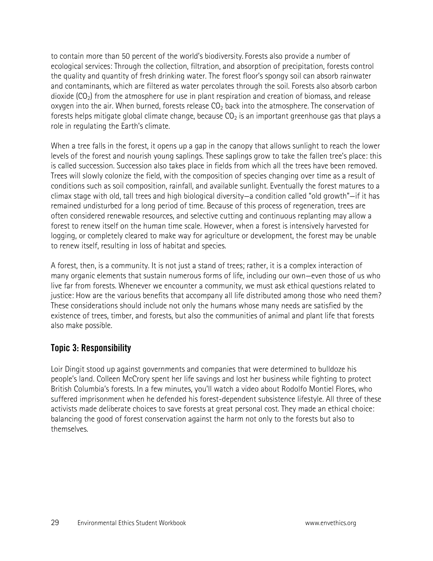to contain more than 50 percent of the world's biodiversity. Forests also provide a number of ecological services: Through the collection, filtration, and absorption of precipitation, forests control the quality and quantity of fresh drinking water. The forest floor's spongy soil can absorb rainwater and contaminants, which are filtered as water percolates through the soil. Forests also absorb carbon dioxide  $(CO<sub>2</sub>)$  from the atmosphere for use in plant respiration and creation of biomass, and release oxygen into the air. When burned, forests release  $CO<sub>2</sub>$  back into the atmosphere. The conservation of forests helps mitigate global climate change, because  $CO<sub>2</sub>$  is an important greenhouse gas that plays a role in regulating the Earth's climate.

When a tree falls in the forest, it opens up a gap in the canopy that allows sunlight to reach the lower levels of the forest and nourish young saplings. These saplings grow to take the fallen tree's place: this is called succession. Succession also takes place in fields from which all the trees have been removed. Trees will slowly colonize the field, with the composition of species changing over time as a result of conditions such as soil composition, rainfall, and available sunlight. Eventually the forest matures to a climax stage with old, tall trees and high biological diversity—a condition called "old growth"—if it has remained undisturbed for a long period of time. Because of this process of regeneration, trees are often considered renewable resources, and selective cutting and continuous replanting may allow a forest to renew itself on the human time scale. However, when a forest is intensively harvested for logging, or completely cleared to make way for agriculture or development, the forest may be unable to renew itself, resulting in loss of habitat and species.

A forest, then, is a community. It is not just a stand of trees; rather, it is a complex interaction of many organic elements that sustain numerous forms of life, including our own—even those of us who live far from forests. Whenever we encounter a community, we must ask ethical questions related to justice: How are the various benefits that accompany all life distributed among those who need them? These considerations should include not only the humans whose many needs are satisfied by the existence of trees, timber, and forests, but also the communities of animal and plant life that forests also make possible.

# **Topic 3: Responsibility**

Loir Dingit stood up against governments and companies that were determined to bulldoze his people's land. Colleen McCrory spent her life savings and lost her business while fighting to protect British Columbia's forests. In a few minutes, you'll watch a video about Rodolfo Montiel Flores, who suffered imprisonment when he defended his forest-dependent subsistence lifestyle. All three of these activists made deliberate choices to save forests at great personal cost. They made an ethical choice: balancing the good of forest conservation against the harm not only to the forests but also to themselves.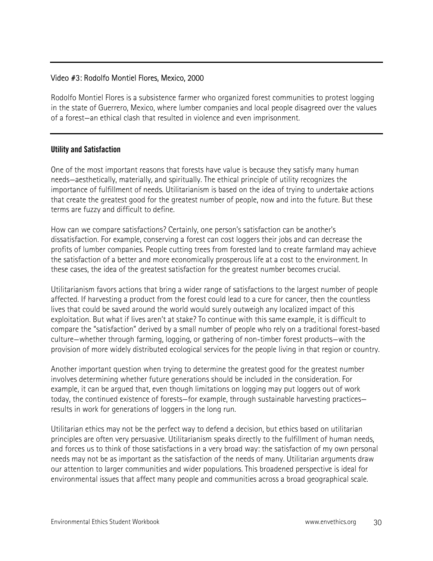## Video #3: Rodolfo Montiel Flores, Mexico, 2000

Rodolfo Montiel Flores is a subsistence farmer who organized forest communities to protest logging in the state of Guerrero, Mexico, where lumber companies and local people disagreed over the values of a forest—an ethical clash that resulted in violence and even imprisonment.

### **Utility and Satisfaction**

One of the most important reasons that forests have value is because they satisfy many human needs—aesthetically, materially, and spiritually. The ethical principle of utility recognizes the importance of fulfillment of needs. Utilitarianism is based on the idea of trying to undertake actions that create the greatest good for the greatest number of people, now and into the future. But these terms are fuzzy and difficult to define.

How can we compare satisfactions? Certainly, one person's satisfaction can be another's dissatisfaction. For example, conserving a forest can cost loggers their jobs and can decrease the profits of lumber companies. People cutting trees from forested land to create farmland may achieve the satisfaction of a better and more economically prosperous life at a cost to the environment. In these cases, the idea of the greatest satisfaction for the greatest number becomes crucial.

Utilitarianism favors actions that bring a wider range of satisfactions to the largest number of people affected. If harvesting a product from the forest could lead to a cure for cancer, then the countless lives that could be saved around the world would surely outweigh any localized impact of this exploitation. But what if lives aren't at stake? To continue with this same example, it is difficult to compare the "satisfaction" derived by a small number of people who rely on a traditional forest-based culture—whether through farming, logging, or gathering of non-timber forest products—with the provision of more widely distributed ecological services for the people living in that region or country.

Another important question when trying to determine the greatest good for the greatest number involves determining whether future generations should be included in the consideration. For example, it can be argued that, even though limitations on logging may put loggers out of work today, the continued existence of forests—for example, through sustainable harvesting practices results in work for generations of loggers in the long run.

Utilitarian ethics may not be the perfect way to defend a decision, but ethics based on utilitarian principles are often very persuasive. Utilitarianism speaks directly to the fulfillment of human needs, and forces us to think of those satisfactions in a very broad way: the satisfaction of my own personal needs may not be as important as the satisfaction of the needs of many. Utilitarian arguments draw our attention to larger communities and wider populations. This broadened perspective is ideal for environmental issues that affect many people and communities across a broad geographical scale.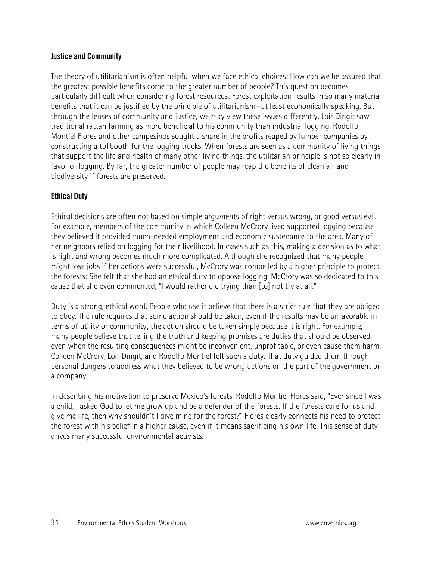## **Justice and Community**

The theory of utilitarianism is often helpful when we face ethical choices: How can we be assured that the greatest possible benefits come to the greater number of people? This question becomes particularly difficult when considering forest resources: Forest exploitation results in so many material benefits that it can be justified by the principle of utilitarianism—at least economically speaking. But through the lenses of community and justice, we may view these issues differently. Loir Dingit saw traditional rattan farming as more beneficial to his community than industrial logging. Rodolfo Montiel Flores and other campesinos sought a share in the profits reaped by lumber companies by constructing a tollbooth for the logging trucks. When forests are seen as a community of living things that support the life and health of many other living things, the utilitarian principle is not so clearly in favor of logging. By far, the greater number of people may reap the benefits of clean air and biodiversity if forests are preserved.

# **Ethical Duty**

Ethical decisions are often not based on simple arguments of right versus wrong, or good versus evil. For example, members of the community in which Colleen McCrory lived supported logging because they believed it provided much-needed employment and economic sustenance to the area. Many of her neighbors relied on logging for their livelihood. In cases such as this, making a decision as to what is right and wrong becomes much more complicated. Although she recognized that many people might lose jobs if her actions were successful, McCrory was compelled by a higher principle to protect the forests: She felt that she had an ethical duty to oppose logging. McCrory was so dedicated to this cause that she even commented, "I would rather die trying than [to] not try at all."

Duty is a strong, ethical word. People who use it believe that there is a strict rule that they are obliged to obey. The rule requires that some action should be taken, even if the results may be unfavorable in terms of utility or community; the action should be taken simply because it is right. For example, many people believe that telling the truth and keeping promises are duties that should be observed even when the resulting consequences might be inconvenient, unprofitable, or even cause them harm. Colleen McCrory, Loir Dingit, and Rodolfo Montiel felt such a duty. That duty guided them through personal dangers to address what they believed to be wrong actions on the part of the government or a company.

In describing his motivation to preserve Mexico's forests, Rodolfo Montiel Flores said, "Ever since I was a child, I asked God to let me grow up and be a defender of the forests. If the forests care for us and give me life, then why shouldn't I give mine for the forest?" Flores clearly connects his need to protect the forest with his belief in a higher cause, even if it means sacrificing his own life. This sense of duty drives many successful environmental activists.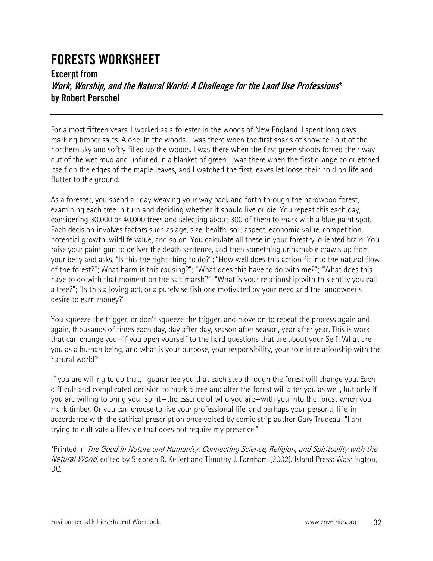# **FORESTS WORKSHEET**

**Excerpt from Work, Worship, and the Natural World: A Challenge for the Land Use Professions\* by Robert Perschel** 

For almost fifteen years, I worked as a forester in the woods of New England. I spent long days marking timber sales. Alone. In the woods. I was there when the first snarls of snow fell out of the northern sky and softly filled up the woods. I was there when the first green shoots forced their way out of the wet mud and unfurled in a blanket of green. I was there when the first orange color etched itself on the edges of the maple leaves, and I watched the first leaves let loose their hold on life and flutter to the ground.

As a forester, you spend all day weaving your way back and forth through the hardwood forest, examining each tree in turn and deciding whether it should live or die. You repeat this each day, considering 30,000 or 40,000 trees and selecting about 300 of them to mark with a blue paint spot. Each decision involves factors such as age, size, health, soil, aspect, economic value, competition, potential growth, wildlife value, and so on. You calculate all these in your forestry-oriented brain. You raise your paint gun to deliver the death sentence, and then something unnamable crawls up from your belly and asks, "Is this the right thing to do?"; "How well does this action fit into the natural flow of the forest?"; What harm is this causing?"; "What does this have to do with me?"; "What does this have to do with that moment on the salt marsh?"; "What is your relationship with this entity you call a tree?"; "Is this a loving act, or a purely selfish one motivated by your need and the landowner's desire to earn money?"

You squeeze the trigger, or don't squeeze the trigger, and move on to repeat the process again and again, thousands of times each day, day after day, season after season, year after year. This is work that can change you—if you open yourself to the hard questions that are about your Self: What are you as a human being, and what is your purpose, your responsibility, your role in relationship with the natural world?

If you are willing to do that, I guarantee you that each step through the forest will change you. Each difficult and complicated decision to mark a tree and alter the forest will alter you as well, but only if you are willing to bring your spirit—the essence of who you are—with you into the forest when you mark timber. Or you can choose to live your professional life, and perhaps your personal life, in accordance with the satirical prescription once voiced by comic strip author Gary Trudeau: "I am trying to cultivate a lifestyle that does not require my presence."

\*Printed in The Good in Nature and Humanity: Connecting Science, Religion, and Spirituality with the Natural World, edited by Stephen R. Kellert and Timothy J. Farnham (2002). Island Press: Washington, DC.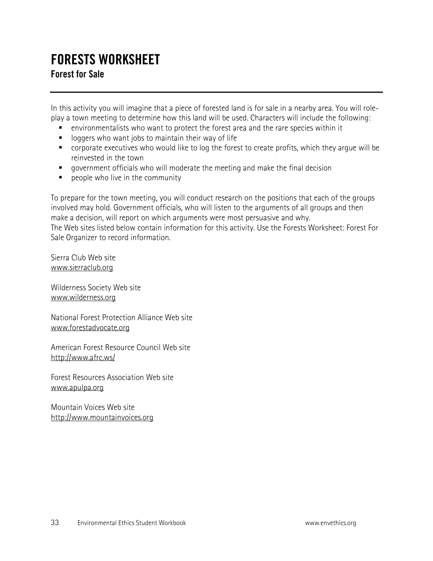# **FORESTS WORKSHEET Forest for Sale**

In this activity you will imagine that a piece of forested land is for sale in a nearby area. You will roleplay a town meeting to determine how this land will be used. Characters will include the following:

- environmentalists who want to protect the forest area and the rare species within it
- $\blacksquare$  loggers who want jobs to maintain their way of life
- corporate executives who would like to log the forest to create profits, which they argue will be reinvested in the town
- government officials who will moderate the meeting and make the final decision
- $\blacksquare$  people who live in the community

To prepare for the town meeting, you will conduct research on the positions that each of the groups involved may hold. Government officials, who will listen to the arguments of all groups and then make a decision, will report on which arguments were most persuasive and why. The Web sites listed below contain information for this activity. Use the Forests Worksheet: Forest For Sale Organizer to record information.

Sierra Club Web site www.sierraclub.org

Wilderness Society Web site www.wilderness.org

National Forest Protection Alliance Web site www.forestadvocate.org

American Forest Resource Council Web site http://www.afrc.ws/

Forest Resources Association Web site www.apulpa.org

Mountain Voices Web site http://www.mountainvoices.org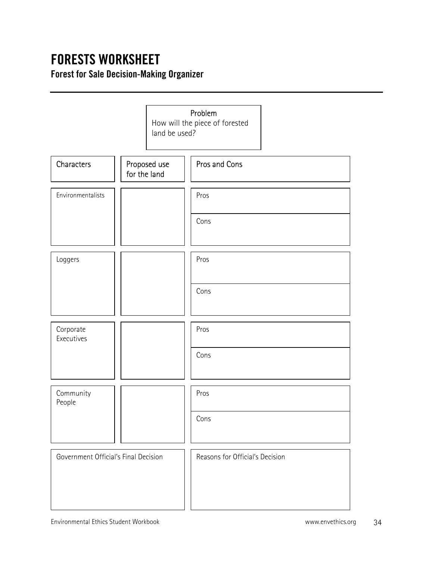# **FORESTS WORKSHEET**

**Forest for Sale Decision-Making Organizer** 

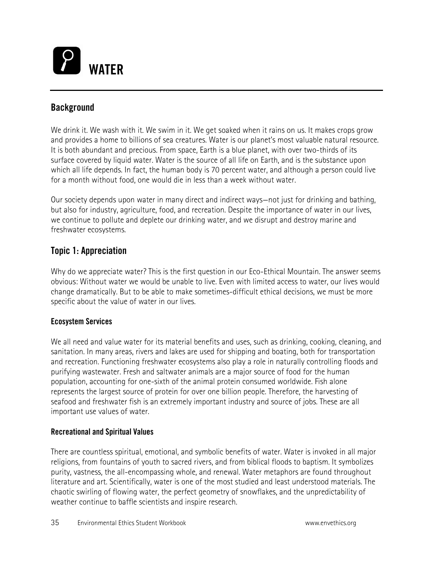

# **Background**

We drink it. We wash with it. We swim in it. We get soaked when it rains on us. It makes crops grow and provides a home to billions of sea creatures. Water is our planet's most valuable natural resource. It is both abundant and precious. From space, Earth is a blue planet, with over two-thirds of its surface covered by liquid water. Water is the source of all life on Earth, and is the substance upon which all life depends. In fact, the human body is 70 percent water, and although a person could live for a month without food, one would die in less than a week without water.

Our society depends upon water in many direct and indirect ways—not just for drinking and bathing, but also for industry, agriculture, food, and recreation. Despite the importance of water in our lives, we continue to pollute and deplete our drinking water, and we disrupt and destroy marine and freshwater ecosystems.

## **Topic 1: Appreciation**

Why do we appreciate water? This is the first question in our Eco-Ethical Mountain. The answer seems obvious: Without water we would be unable to live. Even with limited access to water, our lives would change dramatically. But to be able to make sometimes-difficult ethical decisions, we must be more specific about the value of water in our lives.

### **Ecosystem Services**

We all need and value water for its material benefits and uses, such as drinking, cooking, cleaning, and sanitation. In many areas, rivers and lakes are used for shipping and boating, both for transportation and recreation. Functioning freshwater ecosystems also play a role in naturally controlling floods and purifying wastewater. Fresh and saltwater animals are a major source of food for the human population, accounting for one-sixth of the animal protein consumed worldwide. Fish alone represents the largest source of protein for over one billion people. Therefore, the harvesting of seafood and freshwater fish is an extremely important industry and source of jobs. These are all important use values of water.

### **Recreational and Spiritual Values**

There are countless spiritual, emotional, and symbolic benefits of water. Water is invoked in all major religions, from fountains of youth to sacred rivers, and from biblical floods to baptism. It symbolizes purity, vastness, the all-encompassing whole, and renewal. Water metaphors are found throughout literature and art. Scientifically, water is one of the most studied and least understood materials. The chaotic swirling of flowing water, the perfect geometry of snowflakes, and the unpredictability of weather continue to baffle scientists and inspire research.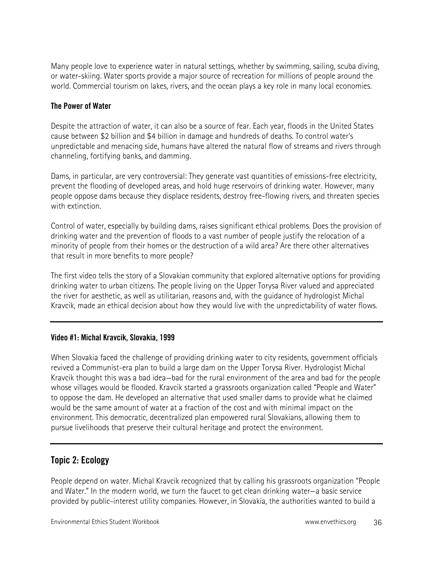Many people love to experience water in natural settings, whether by swimming, sailing, scuba diving, or water-skiing. Water sports provide a major source of recreation for millions of people around the world. Commercial tourism on lakes, rivers, and the ocean plays a key role in many local economies.

#### **The Power of Water**

Despite the attraction of water, it can also be a source of fear. Each year, floods in the United States cause between \$2 billion and \$4 billion in damage and hundreds of deaths. To control water's unpredictable and menacing side, humans have altered the natural flow of streams and rivers through channeling, fortifying banks, and damming.

Dams, in particular, are very controversial: They generate vast quantities of emissions-free electricity, prevent the flooding of developed areas, and hold huge reservoirs of drinking water. However, many people oppose dams because they displace residents, destroy free-flowing rivers, and threaten species with extinction.

Control of water, especially by building dams, raises significant ethical problems. Does the provision of drinking water and the prevention of floods to a vast number of people justify the relocation of a minority of people from their homes or the destruction of a wild area? Are there other alternatives that result in more benefits to more people?

The first video tells the story of a Slovakian community that explored alternative options for providing drinking water to urban citizens. The people living on the Upper Torysa River valued and appreciated the river for aesthetic, as well as utilitarian, reasons and, with the guidance of hydrologist Michal Kravcik, made an ethical decision about how they would live with the unpredictability of water flows.

### **Video #1: Michal Kravcik, Slovakia, 1999**

When Slovakia faced the challenge of providing drinking water to city residents, government officials revived a Communist-era plan to build a large dam on the Upper Torysa River. Hydrologist Michal Kravcik thought this was a bad idea—bad for the rural environment of the area and bad for the people whose villages would be flooded. Kravcik started a grassroots organization called "People and Water" to oppose the dam. He developed an alternative that used smaller dams to provide what he claimed would be the same amount of water at a fraction of the cost and with minimal impact on the environment. This democratic, decentralized plan empowered rural Slovakians, allowing them to pursue livelihoods that preserve their cultural heritage and protect the environment.

## **Topic 2: Ecology**

People depend on water. Michal Kravcik recognized that by calling his grassroots organization "People and Water." In the modern world, we turn the faucet to get clean drinking water—a basic service provided by public-interest utility companies. However, in Slovakia, the authorities wanted to build a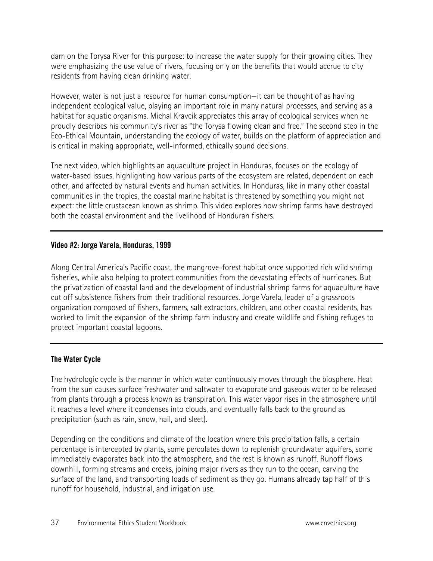dam on the Torysa River for this purpose: to increase the water supply for their growing cities. They were emphasizing the use value of rivers, focusing only on the benefits that would accrue to city residents from having clean drinking water.

However, water is not just a resource for human consumption—it can be thought of as having independent ecological value, playing an important role in many natural processes, and serving as a habitat for aquatic organisms. Michal Kravcik appreciates this array of ecological services when he proudly describes his community's river as "the Torysa flowing clean and free." The second step in the Eco-Ethical Mountain, understanding the ecology of water, builds on the platform of appreciation and is critical in making appropriate, well-informed, ethically sound decisions.

The next video, which highlights an aquaculture project in Honduras, focuses on the ecology of water-based issues, highlighting how various parts of the ecosystem are related, dependent on each other, and affected by natural events and human activities. In Honduras, like in many other coastal communities in the tropics, the coastal marine habitat is threatened by something you might not expect: the little crustacean known as shrimp. This video explores how shrimp farms have destroyed both the coastal environment and the livelihood of Honduran fishers.

### **Video #2: Jorge Varela, Honduras, 1999**

Along Central America's Pacific coast, the mangrove-forest habitat once supported rich wild shrimp fisheries, while also helping to protect communities from the devastating effects of hurricanes. But the privatization of coastal land and the development of industrial shrimp farms for aquaculture have cut off subsistence fishers from their traditional resources. Jorge Varela, leader of a grassroots organization composed of fishers, farmers, salt extractors, children, and other coastal residents, has worked to limit the expansion of the shrimp farm industry and create wildlife and fishing refuges to protect important coastal lagoons.

## **The Water Cycle**

The hydrologic cycle is the manner in which water continuously moves through the biosphere. Heat from the sun causes surface freshwater and saltwater to evaporate and gaseous water to be released from plants through a process known as transpiration. This water vapor rises in the atmosphere until it reaches a level where it condenses into clouds, and eventually falls back to the ground as precipitation (such as rain, snow, hail, and sleet).

Depending on the conditions and climate of the location where this precipitation falls, a certain percentage is intercepted by plants, some percolates down to replenish groundwater aquifers, some immediately evaporates back into the atmosphere, and the rest is known as runoff. Runoff flows downhill, forming streams and creeks, joining major rivers as they run to the ocean, carving the surface of the land, and transporting loads of sediment as they go. Humans already tap half of this runoff for household, industrial, and irrigation use.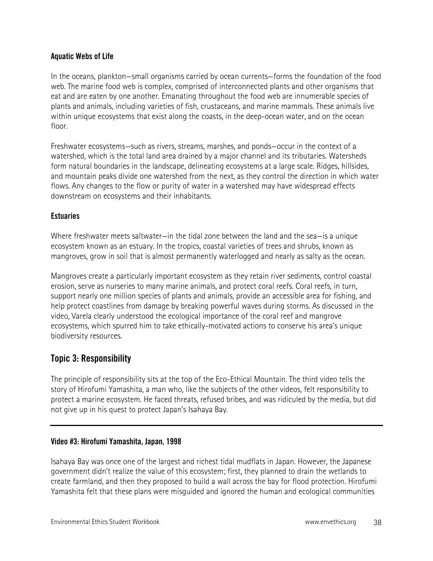### **Aquatic Webs of Life**

In the oceans, plankton—small organisms carried by ocean currents—forms the foundation of the food web. The marine food web is complex, comprised of interconnected plants and other organisms that eat and are eaten by one another. Emanating throughout the food web are innumerable species of plants and animals, including varieties of fish, crustaceans, and marine mammals. These animals live within unique ecosystems that exist along the coasts, in the deep-ocean water, and on the ocean floor.

Freshwater ecosystems—such as rivers, streams, marshes, and ponds—occur in the context of a watershed, which is the total land area drained by a major channel and its tributaries. Watersheds form natural boundaries in the landscape, delineating ecosystems at a large scale. Ridges, hillsides, and mountain peaks divide one watershed from the next, as they control the direction in which water flows. Any changes to the flow or purity of water in a watershed may have widespread effects downstream on ecosystems and their inhabitants.

### **Estuaries**

Where freshwater meets saltwater—in the tidal zone between the land and the sea—is a unique ecosystem known as an estuary. In the tropics, coastal varieties of trees and shrubs, known as mangroves, grow in soil that is almost permanently waterlogged and nearly as salty as the ocean.

Mangroves create a particularly important ecosystem as they retain river sediments, control coastal erosion, serve as nurseries to many marine animals, and protect coral reefs. Coral reefs, in turn, support nearly one million species of plants and animals, provide an accessible area for fishing, and help protect coastlines from damage by breaking powerful waves during storms. As discussed in the video, Varela clearly understood the ecological importance of the coral reef and mangrove ecosystems, which spurred him to take ethically-motivated actions to conserve his area's unique biodiversity resources.

### **Topic 3: Responsibility**

The principle of responsibility sits at the top of the Eco-Ethical Mountain. The third video tells the story of Hirofumi Yamashita, a man who, like the subjects of the other videos, felt responsibility to protect a marine ecosystem. He faced threats, refused bribes, and was ridiculed by the media, but did not give up in his quest to protect Japan's Isahaya Bay.

### **Video #3: Hirofumi Yamashita, Japan, 1998**

Isahaya Bay was once one of the largest and richest tidal mudflats in Japan. However, the Japanese government didn't realize the value of this ecosystem; first, they planned to drain the wetlands to create farmland, and then they proposed to build a wall across the bay for flood protection. Hirofumi Yamashita felt that these plans were misguided and ignored the human and ecological communities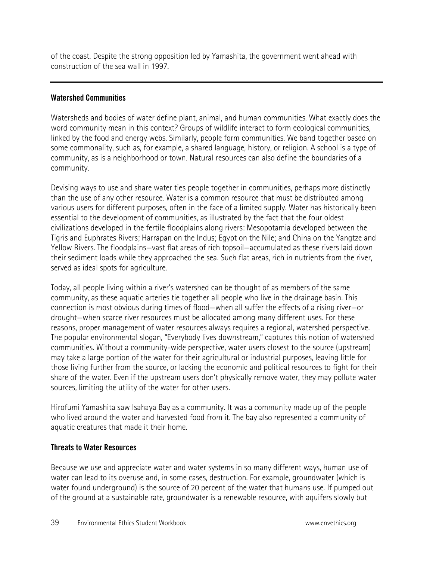of the coast. Despite the strong opposition led by Yamashita, the government went ahead with construction of the sea wall in 1997.

### **Watershed Communities**

Watersheds and bodies of water define plant, animal, and human communities. What exactly does the word community mean in this context? Groups of wildlife interact to form ecological communities, linked by the food and energy webs. Similarly, people form communities. We band together based on some commonality, such as, for example, a shared language, history, or religion. A school is a type of community, as is a neighborhood or town. Natural resources can also define the boundaries of a community.

Devising ways to use and share water ties people together in communities, perhaps more distinctly than the use of any other resource. Water is a common resource that must be distributed among various users for different purposes, often in the face of a limited supply. Water has historically been essential to the development of communities, as illustrated by the fact that the four oldest civilizations developed in the fertile floodplains along rivers: Mesopotamia developed between the Tigris and Euphrates Rivers; Harrapan on the Indus; Egypt on the Nile; and China on the Yangtze and Yellow Rivers. The floodplains—vast flat areas of rich topsoil—accumulated as these rivers laid down their sediment loads while they approached the sea. Such flat areas, rich in nutrients from the river, served as ideal spots for agriculture.

Today, all people living within a river's watershed can be thought of as members of the same community, as these aquatic arteries tie together all people who live in the drainage basin. This connection is most obvious during times of flood—when all suffer the effects of a rising river—or drought—when scarce river resources must be allocated among many different uses. For these reasons, proper management of water resources always requires a regional, watershed perspective. The popular environmental slogan, "Everybody lives downstream," captures this notion of watershed communities. Without a community-wide perspective, water users closest to the source (upstream) may take a large portion of the water for their agricultural or industrial purposes, leaving little for those living further from the source, or lacking the economic and political resources to fight for their share of the water. Even if the upstream users don't physically remove water, they may pollute water sources, limiting the utility of the water for other users.

Hirofumi Yamashita saw Isahaya Bay as a community. It was a community made up of the people who lived around the water and harvested food from it. The bay also represented a community of aquatic creatures that made it their home.

### **Threats to Water Resources**

Because we use and appreciate water and water systems in so many different ways, human use of water can lead to its overuse and, in some cases, destruction. For example, groundwater (which is water found underground) is the source of 20 percent of the water that humans use. If pumped out of the ground at a sustainable rate, groundwater is a renewable resource, with aquifers slowly but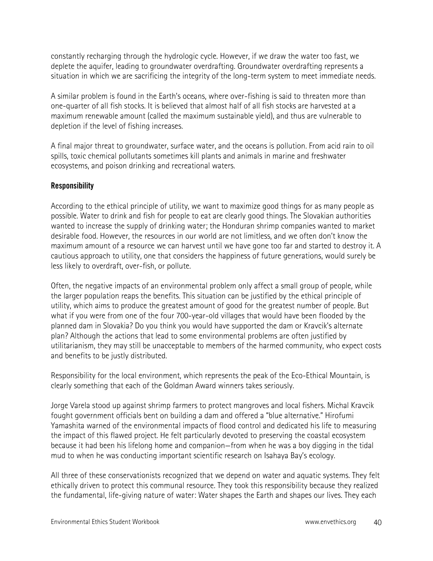constantly recharging through the hydrologic cycle. However, if we draw the water too fast, we deplete the aquifer, leading to groundwater overdrafting. Groundwater overdrafting represents a situation in which we are sacrificing the integrity of the long-term system to meet immediate needs.

A similar problem is found in the Earth's oceans, where over-fishing is said to threaten more than one-quarter of all fish stocks. It is believed that almost half of all fish stocks are harvested at a maximum renewable amount (called the maximum sustainable yield), and thus are vulnerable to depletion if the level of fishing increases.

A final major threat to groundwater, surface water, and the oceans is pollution. From acid rain to oil spills, toxic chemical pollutants sometimes kill plants and animals in marine and freshwater ecosystems, and poison drinking and recreational waters.

### **Responsibility**

According to the ethical principle of utility, we want to maximize good things for as many people as possible. Water to drink and fish for people to eat are clearly good things. The Slovakian authorities wanted to increase the supply of drinking water; the Honduran shrimp companies wanted to market desirable food. However, the resources in our world are not limitless, and we often don't know the maximum amount of a resource we can harvest until we have gone too far and started to destroy it. A cautious approach to utility, one that considers the happiness of future generations, would surely be less likely to overdraft, over-fish, or pollute.

Often, the negative impacts of an environmental problem only affect a small group of people, while the larger population reaps the benefits. This situation can be justified by the ethical principle of utility, which aims to produce the greatest amount of good for the greatest number of people. But what if you were from one of the four 700-year-old villages that would have been flooded by the planned dam in Slovakia? Do you think you would have supported the dam or Kravcik's alternate plan? Although the actions that lead to some environmental problems are often justified by utilitarianism, they may still be unacceptable to members of the harmed community, who expect costs and benefits to be justly distributed.

Responsibility for the local environment, which represents the peak of the Eco-Ethical Mountain, is clearly something that each of the Goldman Award winners takes seriously.

Jorge Varela stood up against shrimp farmers to protect mangroves and local fishers. Michal Kravcik fought government officials bent on building a dam and offered a "blue alternative." Hirofumi Yamashita warned of the environmental impacts of flood control and dedicated his life to measuring the impact of this flawed project. He felt particularly devoted to preserving the coastal ecosystem because it had been his lifelong home and companion—from when he was a boy digging in the tidal mud to when he was conducting important scientific research on Isahaya Bay's ecology.

All three of these conservationists recognized that we depend on water and aquatic systems. They felt ethically driven to protect this communal resource. They took this responsibility because they realized the fundamental, life-giving nature of water: Water shapes the Earth and shapes our lives. They each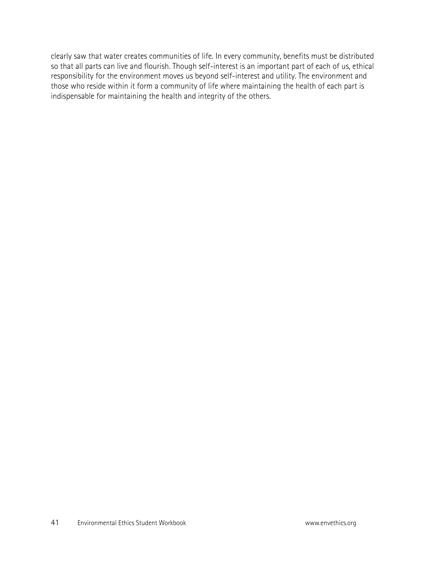clearly saw that water creates communities of life. In every community, benefits must be distributed so that all parts can live and flourish. Though self-interest is an important part of each of us, ethical responsibility for the environment moves us beyond self-interest and utility. The environment and those who reside within it form a community of life where maintaining the health of each part is indispensable for maintaining the health and integrity of the others.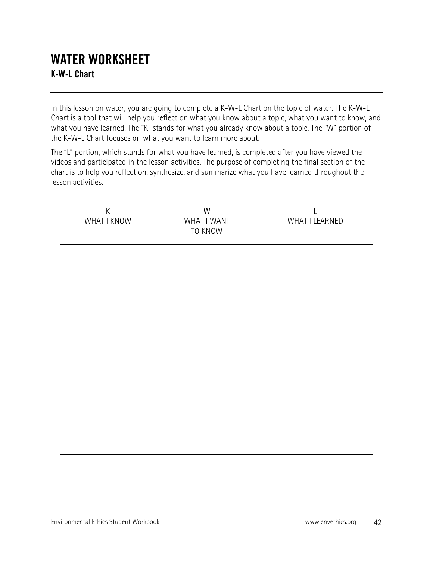# **WATER WORKSHEET K-W-L Chart**

In this lesson on water, you are going to complete a K-W-L Chart on the topic of water. The K-W-L Chart is a tool that will help you reflect on what you know about a topic, what you want to know, and what you have learned. The "K" stands for what you already know about a topic. The "W" portion of the K-W-L Chart focuses on what you want to learn more about.

The "L" portion, which stands for what you have learned, is completed after you have viewed the videos and participated in the lesson activities. The purpose of completing the final section of the chart is to help you reflect on, synthesize, and summarize what you have learned throughout the lesson activities.

| $\mathsf{K}$<br>WHAT I KNOW | W<br>WHAT I WANT<br>TO KNOW | WHAT I LEARNED |  |  |
|-----------------------------|-----------------------------|----------------|--|--|
|                             |                             |                |  |  |
|                             |                             |                |  |  |
|                             |                             |                |  |  |
|                             |                             |                |  |  |
|                             |                             |                |  |  |
|                             |                             |                |  |  |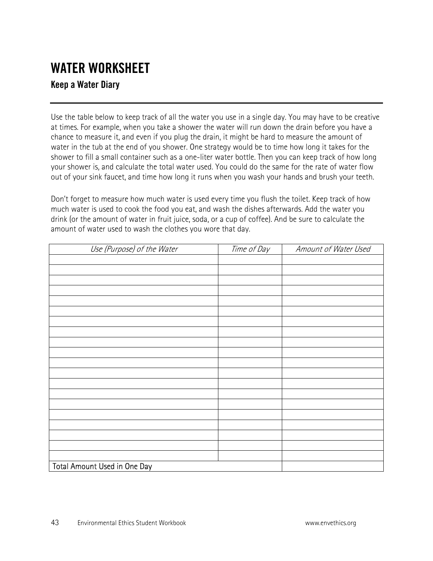# **WATER WORKSHEET**

# **Keep a Water Diary**

Use the table below to keep track of all the water you use in a single day. You may have to be creative at times. For example, when you take a shower the water will run down the drain before you have a chance to measure it, and even if you plug the drain, it might be hard to measure the amount of water in the tub at the end of you shower. One strategy would be to time how long it takes for the shower to fill a small container such as a one-liter water bottle. Then you can keep track of how long your shower is, and calculate the total water used. You could do the same for the rate of water flow out of your sink faucet, and time how long it runs when you wash your hands and brush your teeth.

Don't forget to measure how much water is used every time you flush the toilet. Keep track of how much water is used to cook the food you eat, and wash the dishes afterwards. Add the water you drink (or the amount of water in fruit juice, soda, or a cup of coffee). And be sure to calculate the amount of water used to wash the clothes you wore that day.

| Use (Purpose) of the Water   | Time of Day | Amount of Water Used |
|------------------------------|-------------|----------------------|
|                              |             |                      |
|                              |             |                      |
|                              |             |                      |
|                              |             |                      |
|                              |             |                      |
|                              |             |                      |
|                              |             |                      |
|                              |             |                      |
|                              |             |                      |
|                              |             |                      |
|                              |             |                      |
|                              |             |                      |
|                              |             |                      |
|                              |             |                      |
|                              |             |                      |
|                              |             |                      |
|                              |             |                      |
|                              |             |                      |
|                              |             |                      |
|                              |             |                      |
| Total Amount Used in One Day |             |                      |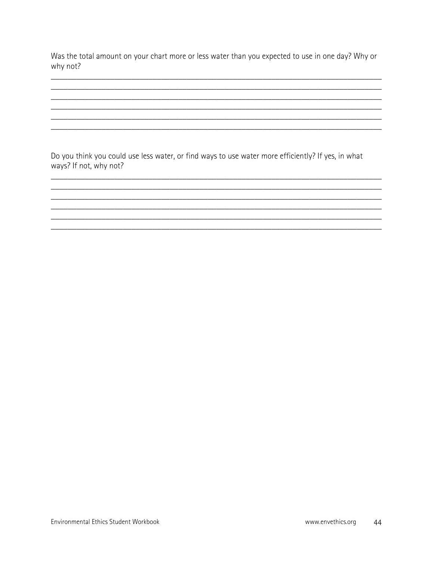Was the total amount on your chart more or less water than you expected to use in one day? Why or why not?

Do you think you could use less water, or find ways to use water more efficiently? If yes, in what ways? If not, why not?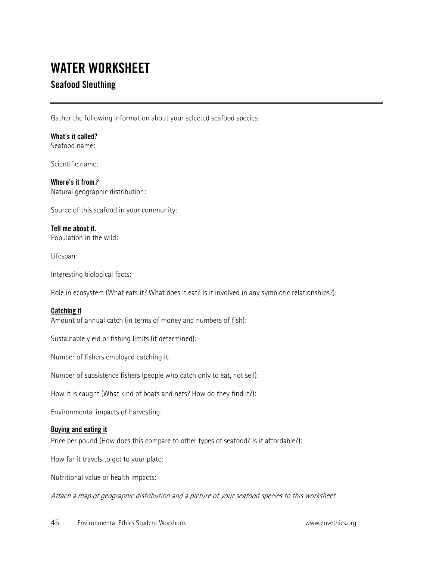# **WATER WORKSHEET**

# **Seafood Sleuthing**

Gather the following information about your selected seafood species:

#### **What's it called?** Seafood name:

Scientific name:

**Where's it from?** Natural geographic distribution:

Source of this seafood in your community:

**Tell me about it.** Population in the wild:

Lifespan:

Interesting biological facts:

Role in ecosystem (What eats it? What does it eat? Is it involved in any symbiotic relationships?):

#### **Catching it**

Amount of annual catch (in terms of money and numbers of fish):

Sustainable yield or fishing limits (if determined):

Number of fishers employed catching it:

Number of subsistence fishers (people who catch only to eat, not sell):

How it is caught (What kind of boats and nets? How do they find it?):

Environmental impacts of harvesting:

#### **Buying and eating it**

Price per pound (How does this compare to other types of seafood? Is it affordable?):

How far it travels to get to your plate:

Nutritional value or health impacts:

Attach a map of geographic distribution and a picture of your seafood species to this worksheet.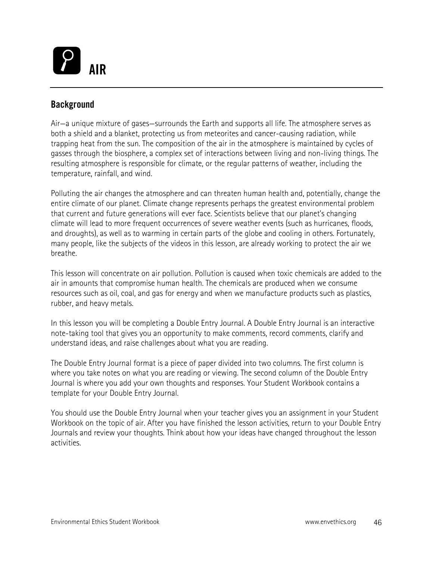

## **Background**

Air—a unique mixture of gases—surrounds the Earth and supports all life. The atmosphere serves as both a shield and a blanket, protecting us from meteorites and cancer-causing radiation, while trapping heat from the sun. The composition of the air in the atmosphere is maintained by cycles of gasses through the biosphere, a complex set of interactions between living and non-living things. The resulting atmosphere is responsible for climate, or the regular patterns of weather, including the temperature, rainfall, and wind.

Polluting the air changes the atmosphere and can threaten human health and, potentially, change the entire climate of our planet. Climate change represents perhaps the greatest environmental problem that current and future generations will ever face. Scientists believe that our planet's changing climate will lead to more frequent occurrences of severe weather events (such as hurricanes, floods, and droughts), as well as to warming in certain parts of the globe and cooling in others. Fortunately, many people, like the subjects of the videos in this lesson, are already working to protect the air we breathe.

This lesson will concentrate on air pollution. Pollution is caused when toxic chemicals are added to the air in amounts that compromise human health. The chemicals are produced when we consume resources such as oil, coal, and gas for energy and when we manufacture products such as plastics, rubber, and heavy metals.

In this lesson you will be completing a Double Entry Journal. A Double Entry Journal is an interactive note-taking tool that gives you an opportunity to make comments, record comments, clarify and understand ideas, and raise challenges about what you are reading.

The Double Entry Journal format is a piece of paper divided into two columns. The first column is where you take notes on what you are reading or viewing. The second column of the Double Entry Journal is where you add your own thoughts and responses. Your Student Workbook contains a template for your Double Entry Journal.

You should use the Double Entry Journal when your teacher gives you an assignment in your Student Workbook on the topic of air. After you have finished the lesson activities, return to your Double Entry Journals and review your thoughts. Think about how your ideas have changed throughout the lesson activities.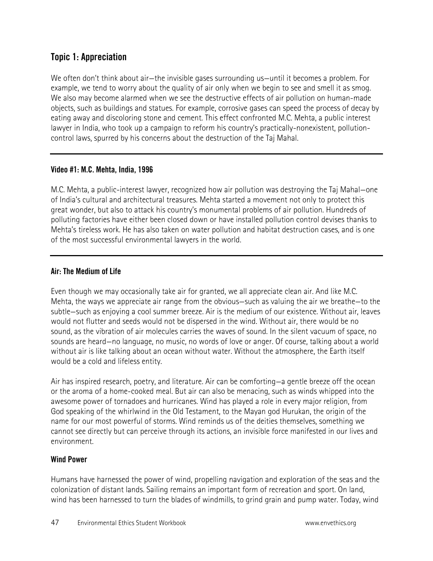# **Topic 1: Appreciation**

We often don't think about air—the invisible gases surrounding us—until it becomes a problem. For example, we tend to worry about the quality of air only when we begin to see and smell it as smog. We also may become alarmed when we see the destructive effects of air pollution on human-made objects, such as buildings and statues. For example, corrosive gases can speed the process of decay by eating away and discoloring stone and cement. This effect confronted M.C. Mehta, a public interest lawyer in India, who took up a campaign to reform his country's practically-nonexistent, pollutioncontrol laws, spurred by his concerns about the destruction of the Taj Mahal.

### **Video #1: M.C. Mehta, India, 1996**

M.C. Mehta, a public-interest lawyer, recognized how air pollution was destroying the Taj Mahal—one of India's cultural and architectural treasures. Mehta started a movement not only to protect this great wonder, but also to attack his country's monumental problems of air pollution. Hundreds of polluting factories have either been closed down or have installed pollution control devises thanks to Mehta's tireless work. He has also taken on water pollution and habitat destruction cases, and is one of the most successful environmental lawyers in the world.

### **Air: The Medium of Life**

Even though we may occasionally take air for granted, we all appreciate clean air. And like M.C. Mehta, the ways we appreciate air range from the obvious—such as valuing the air we breathe—to the subtle—such as enjoying a cool summer breeze. Air is the medium of our existence. Without air, leaves would not flutter and seeds would not be dispersed in the wind. Without air, there would be no sound, as the vibration of air molecules carries the waves of sound. In the silent vacuum of space, no sounds are heard—no language, no music, no words of love or anger. Of course, talking about a world without air is like talking about an ocean without water. Without the atmosphere, the Earth itself would be a cold and lifeless entity.

Air has inspired research, poetry, and literature. Air can be comforting—a gentle breeze off the ocean or the aroma of a home-cooked meal. But air can also be menacing, such as winds whipped into the awesome power of tornadoes and hurricanes. Wind has played a role in every major religion, from God speaking of the whirlwind in the Old Testament, to the Mayan god Hurukan, the origin of the name for our most powerful of storms. Wind reminds us of the deities themselves, something we cannot see directly but can perceive through its actions, an invisible force manifested in our lives and environment.

### **Wind Power**

Humans have harnessed the power of wind, propelling navigation and exploration of the seas and the colonization of distant lands. Sailing remains an important form of recreation and sport. On land, wind has been harnessed to turn the blades of windmills, to grind grain and pump water. Today, wind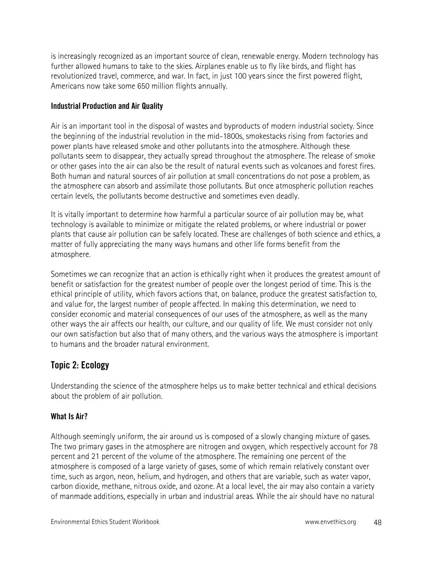is increasingly recognized as an important source of clean, renewable energy. Modern technology has further allowed humans to take to the skies. Airplanes enable us to fly like birds, and flight has revolutionized travel, commerce, and war. In fact, in just 100 years since the first powered flight, Americans now take some 650 million flights annually.

### **Industrial Production and Air Quality**

Air is an important tool in the disposal of wastes and byproducts of modern industrial society. Since the beginning of the industrial revolution in the mid-1800s, smokestacks rising from factories and power plants have released smoke and other pollutants into the atmosphere. Although these pollutants seem to disappear, they actually spread throughout the atmosphere. The release of smoke or other gases into the air can also be the result of natural events such as volcanoes and forest fires. Both human and natural sources of air pollution at small concentrations do not pose a problem, as the atmosphere can absorb and assimilate those pollutants. But once atmospheric pollution reaches certain levels, the pollutants become destructive and sometimes even deadly.

It is vitally important to determine how harmful a particular source of air pollution may be, what technology is available to minimize or mitigate the related problems, or where industrial or power plants that cause air pollution can be safely located. These are challenges of both science and ethics, a matter of fully appreciating the many ways humans and other life forms benefit from the atmosphere.

Sometimes we can recognize that an action is ethically right when it produces the greatest amount of benefit or satisfaction for the greatest number of people over the longest period of time. This is the ethical principle of utility, which favors actions that, on balance, produce the greatest satisfaction to, and value for, the largest number of people affected. In making this determination, we need to consider economic and material consequences of our uses of the atmosphere, as well as the many other ways the air affects our health, our culture, and our quality of life. We must consider not only our own satisfaction but also that of many others, and the various ways the atmosphere is important to humans and the broader natural environment.

# **Topic 2: Ecology**

Understanding the science of the atmosphere helps us to make better technical and ethical decisions about the problem of air pollution.

### **What Is Air?**

Although seemingly uniform, the air around us is composed of a slowly changing mixture of gases. The two primary gases in the atmosphere are nitrogen and oxygen, which respectively account for 78 percent and 21 percent of the volume of the atmosphere. The remaining one percent of the atmosphere is composed of a large variety of gases, some of which remain relatively constant over time, such as argon, neon, helium, and hydrogen, and others that are variable, such as water vapor, carbon dioxide, methane, nitrous oxide, and ozone. At a local level, the air may also contain a variety of manmade additions, especially in urban and industrial areas. While the air should have no natural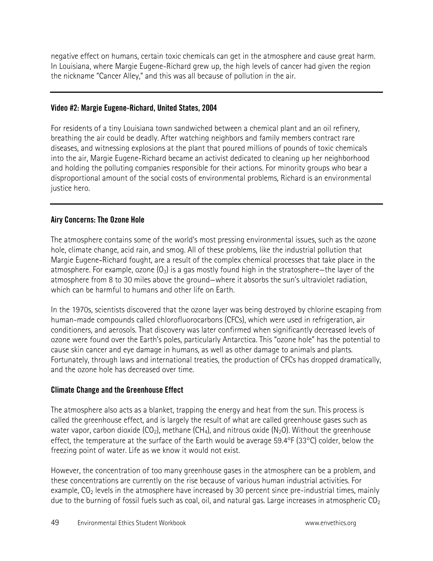negative effect on humans, certain toxic chemicals can get in the atmosphere and cause great harm. In Louisiana, where Margie Eugene-Richard grew up, the high levels of cancer had given the region the nickname "Cancer Alley," and this was all because of pollution in the air.

### **Video #2: Margie Eugene-Richard, United States, 2004**

For residents of a tiny Louisiana town sandwiched between a chemical plant and an oil refinery, breathing the air could be deadly. After watching neighbors and family members contract rare diseases, and witnessing explosions at the plant that poured millions of pounds of toxic chemicals into the air, Margie Eugene-Richard became an activist dedicated to cleaning up her neighborhood and holding the polluting companies responsible for their actions. For minority groups who bear a disproportional amount of the social costs of environmental problems, Richard is an environmental justice hero.

### **Airy Concerns: The Ozone Hole**

The atmosphere contains some of the world's most pressing environmental issues, such as the ozone hole, climate change, acid rain, and smog. All of these problems, like the industrial pollution that Margie Eugene-Richard fought, are a result of the complex chemical processes that take place in the atmosphere. For example, ozone  $(0_3)$  is a gas mostly found high in the stratosphere–the layer of the atmosphere from 8 to 30 miles above the ground—where it absorbs the sun's ultraviolet radiation, which can be harmful to humans and other life on Earth.

In the 1970s, scientists discovered that the ozone layer was being destroyed by chlorine escaping from human-made compounds called chlorofluorocarbons (CFCs), which were used in refrigeration, air conditioners, and aerosols. That discovery was later confirmed when significantly decreased levels of ozone were found over the Earth's poles, particularly Antarctica. This "ozone hole" has the potential to cause skin cancer and eye damage in humans, as well as other damage to animals and plants. Fortunately, through laws and international treaties, the production of CFCs has dropped dramatically, and the ozone hole has decreased over time.

### **Climate Change and the Greenhouse Effect**

The atmosphere also acts as a blanket, trapping the energy and heat from the sun. This process is called the greenhouse effect, and is largely the result of what are called greenhouse gases such as water vapor, carbon dioxide (CO<sub>2</sub>), methane (CH<sub>4</sub>), and nitrous oxide (N<sub>2</sub>O). Without the greenhouse effect, the temperature at the surface of the Earth would be average 59.4°F (33°C) colder, below the freezing point of water. Life as we know it would not exist.

However, the concentration of too many greenhouse gases in the atmosphere can be a problem, and these concentrations are currently on the rise because of various human industrial activities. For example,  $CO<sub>2</sub>$  levels in the atmosphere have increased by 30 percent since pre-industrial times, mainly due to the burning of fossil fuels such as coal, oil, and natural gas. Large increases in atmospheric  $CO<sub>2</sub>$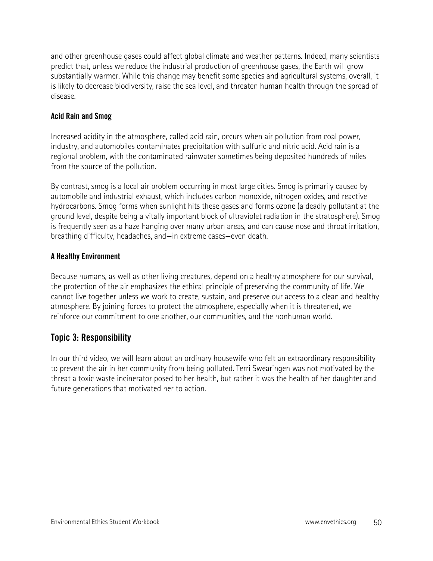and other greenhouse gases could affect global climate and weather patterns. Indeed, many scientists predict that, unless we reduce the industrial production of greenhouse gases, the Earth will grow substantially warmer. While this change may benefit some species and agricultural systems, overall, it is likely to decrease biodiversity, raise the sea level, and threaten human health through the spread of disease.

### **Acid Rain and Smog**

Increased acidity in the atmosphere, called acid rain, occurs when air pollution from coal power, industry, and automobiles contaminates precipitation with sulfuric and nitric acid. Acid rain is a regional problem, with the contaminated rainwater sometimes being deposited hundreds of miles from the source of the pollution.

By contrast, smog is a local air problem occurring in most large cities. Smog is primarily caused by automobile and industrial exhaust, which includes carbon monoxide, nitrogen oxides, and reactive hydrocarbons. Smog forms when sunlight hits these gases and forms ozone (a deadly pollutant at the ground level, despite being a vitally important block of ultraviolet radiation in the stratosphere). Smog is frequently seen as a haze hanging over many urban areas, and can cause nose and throat irritation, breathing difficulty, headaches, and—in extreme cases—even death.

### **A Healthy Environment**

Because humans, as well as other living creatures, depend on a healthy atmosphere for our survival, the protection of the air emphasizes the ethical principle of preserving the community of life. We cannot live together unless we work to create, sustain, and preserve our access to a clean and healthy atmosphere. By joining forces to protect the atmosphere, especially when it is threatened, we reinforce our commitment to one another, our communities, and the nonhuman world.

## **Topic 3: Responsibility**

In our third video, we will learn about an ordinary housewife who felt an extraordinary responsibility to prevent the air in her community from being polluted. Terri Swearingen was not motivated by the threat a toxic waste incinerator posed to her health, but rather it was the health of her daughter and future generations that motivated her to action.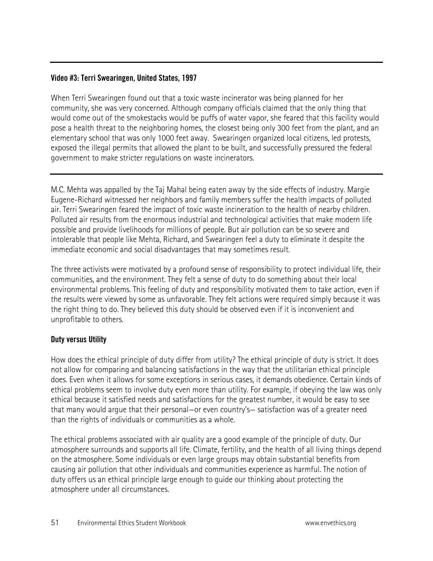### **Video #3: Terri Swearingen, United States, 1997**

When Terri Swearingen found out that a toxic waste incinerator was being planned for her community, she was very concerned. Although company officials claimed that the only thing that would come out of the smokestacks would be puffs of water vapor, she feared that this facility would pose a health threat to the neighboring homes, the closest being only 300 feet from the plant, and an elementary school that was only 1000 feet away. Swearingen organized local citizens, led protests, exposed the illegal permits that allowed the plant to be built, and successfully pressured the federal government to make stricter regulations on waste incinerators.

M.C. Mehta was appalled by the Taj Mahal being eaten away by the side effects of industry. Margie Eugene-Richard witnessed her neighbors and family members suffer the health impacts of polluted air. Terri Swearingen feared the impact of toxic waste incineration to the health of nearby children. Polluted air results from the enormous industrial and technological activities that make modern life possible and provide livelihoods for millions of people. But air pollution can be so severe and intolerable that people like Mehta, Richard, and Swearingen feel a duty to eliminate it despite the immediate economic and social disadvantages that may sometimes result.

The three activists were motivated by a profound sense of responsibility to protect individual life, their communities, and the environment. They felt a sense of duty to do something about their local environmental problems. This feeling of duty and responsibility motivated them to take action, even if the results were viewed by some as unfavorable. They felt actions were required simply because it was the right thing to do. They believed this duty should be observed even if it is inconvenient and unprofitable to others.

### **Duty versus Utility**

How does the ethical principle of duty differ from utility? The ethical principle of duty is strict. It does not allow for comparing and balancing satisfactions in the way that the utilitarian ethical principle does. Even when it allows for some exceptions in serious cases, it demands obedience. Certain kinds of ethical problems seem to involve duty even more than utility. For example, if obeying the law was only ethical because it satisfied needs and satisfactions for the greatest number, it would be easy to see that many would argue that their personal—or even country's— satisfaction was of a greater need than the rights of individuals or communities as a whole.

The ethical problems associated with air quality are a good example of the principle of duty. Our atmosphere surrounds and supports all life. Climate, fertility, and the health of all living things depend on the atmosphere. Some individuals or even large groups may obtain substantial benefits from causing air pollution that other individuals and communities experience as harmful. The notion of duty offers us an ethical principle large enough to guide our thinking about protecting the atmosphere under all circumstances.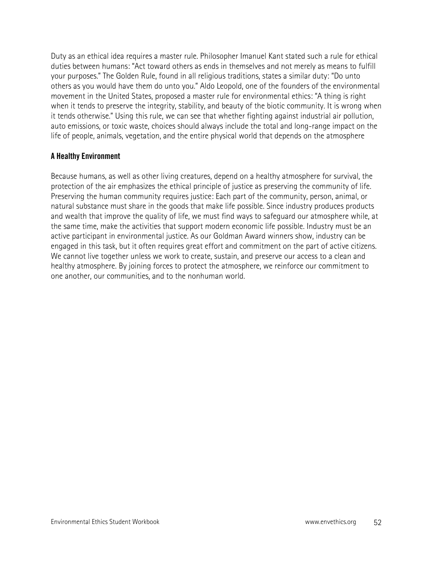Duty as an ethical idea requires a master rule. Philosopher Imanuel Kant stated such a rule for ethical duties between humans: "Act toward others as ends in themselves and not merely as means to fulfill your purposes." The Golden Rule, found in all religious traditions, states a similar duty: "Do unto others as you would have them do unto you." Aldo Leopold, one of the founders of the environmental movement in the United States, proposed a master rule for environmental ethics: "A thing is right when it tends to preserve the integrity, stability, and beauty of the biotic community. It is wrong when it tends otherwise." Using this rule, we can see that whether fighting against industrial air pollution, auto emissions, or toxic waste, choices should always include the total and long-range impact on the life of people, animals, vegetation, and the entire physical world that depends on the atmosphere

### **A Healthy Environment**

Because humans, as well as other living creatures, depend on a healthy atmosphere for survival, the protection of the air emphasizes the ethical principle of justice as preserving the community of life. Preserving the human community requires justice: Each part of the community, person, animal, or natural substance must share in the goods that make life possible. Since industry produces products and wealth that improve the quality of life, we must find ways to safeguard our atmosphere while, at the same time, make the activities that support modern economic life possible. Industry must be an active participant in environmental justice. As our Goldman Award winners show, industry can be engaged in this task, but it often requires great effort and commitment on the part of active citizens. We cannot live together unless we work to create, sustain, and preserve our access to a clean and healthy atmosphere. By joining forces to protect the atmosphere, we reinforce our commitment to one another, our communities, and to the nonhuman world.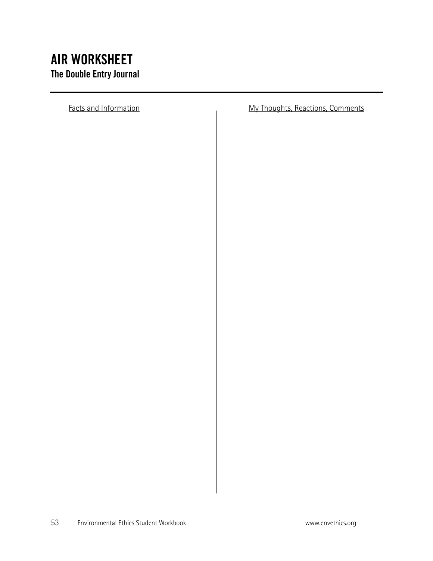# **AIR WORKSHEET The Double Entry Journal**

Facts and Information **My Thoughts, Reactions, Comments**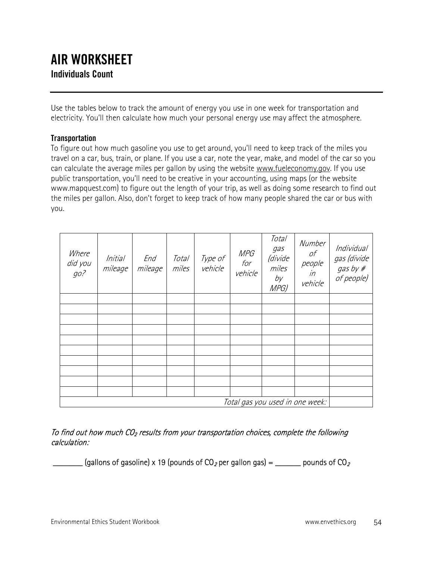# **AIR WORKSHEET Individuals Count**

Use the tables below to track the amount of energy you use in one week for transportation and electricity. You'll then calculate how much your personal energy use may affect the atmosphere.

### **Transportation**

To figure out how much gasoline you use to get around, you'll need to keep track of the miles you travel on a car, bus, train, or plane. If you use a car, note the year, make, and model of the car so you can calculate the average miles per gallon by using the website www.fueleconomy.gov. If you use public transportation, you'll need to be creative in your accounting, using maps (or the website www.mapquest.com) to figure out the length of your trip, as well as doing some research to find out the miles per gallon. Also, don't forget to keep track of how many people shared the car or bus with you.

| Where<br>did you<br>go?         | <i>Initial</i><br>mileage | End<br>mileage | Total<br>miles | Type of<br>vehicle | <b>MPG</b><br>for<br>vehicle | Total<br>gas<br>(divide<br>miles<br>by<br>MPG) | Number<br>оf<br>people<br>in<br>vehicle | <i>Individual</i><br>gas (divide<br>gas by #<br>of people) |
|---------------------------------|---------------------------|----------------|----------------|--------------------|------------------------------|------------------------------------------------|-----------------------------------------|------------------------------------------------------------|
|                                 |                           |                |                |                    |                              |                                                |                                         |                                                            |
|                                 |                           |                |                |                    |                              |                                                |                                         |                                                            |
|                                 |                           |                |                |                    |                              |                                                |                                         |                                                            |
|                                 |                           |                |                |                    |                              |                                                |                                         |                                                            |
|                                 |                           |                |                |                    |                              |                                                |                                         |                                                            |
|                                 |                           |                |                |                    |                              |                                                |                                         |                                                            |
|                                 |                           |                |                |                    |                              |                                                |                                         |                                                            |
|                                 |                           |                |                |                    |                              |                                                |                                         |                                                            |
|                                 |                           |                |                |                    |                              |                                                |                                         |                                                            |
|                                 |                           |                |                |                    |                              |                                                |                                         |                                                            |
| Total gas you used in one week: |                           |                |                |                    |                              |                                                |                                         |                                                            |

To find out how much  $CO<sub>2</sub>$  results from your transportation choices, complete the following calculation:

 $\frac{1}{2}$  (gallons of gasoline) x 19 (pounds of CO<sub>2</sub> per gallon gas) = \_\_\_\_\_\_\_ pounds of CO<sub>2</sub>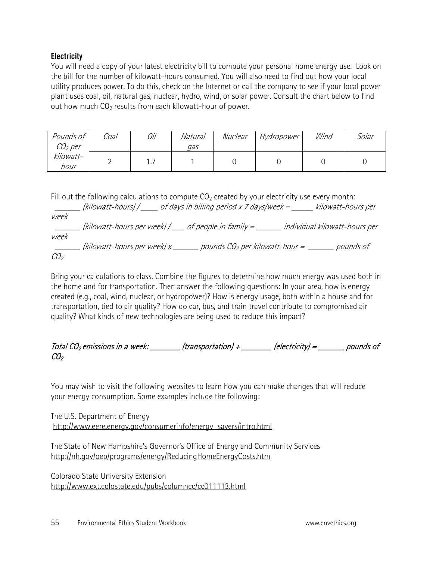### **Electricity**

You will need a copy of your latest electricity bill to compute your personal home energy use. Look on the bill for the number of kilowatt-hours consumed. You will also need to find out how your local utility produces power. To do this, check on the Internet or call the company to see if your local power plant uses coal, oil, natural gas, nuclear, hydro, wind, or solar power. Consult the chart below to find out how much  $CO<sub>2</sub>$  results from each kilowatt-hour of power.

| Pounds of         | Coal | Oil | Natural | Nuclear | Hydropower | Wind | Solar |
|-------------------|------|-----|---------|---------|------------|------|-------|
| $CO2$ per         |      |     | aas     |         |            |      |       |
| kilowatt-<br>hour |      | .   |         |         |            |      |       |

Fill out the following calculations to compute  $CO<sub>2</sub>$  created by your electricity use every month:

 $\frac{1}{\sqrt{1-\frac{1}{\sqrt{1-\frac{1}{\sqrt{1-\frac{1}{\sqrt{1-\frac{1}{\sqrt{1-\frac{1}{\sqrt{1-\frac{1}{\sqrt{1-\frac{1}{\sqrt{1-\frac{1}{\sqrt{1-\frac{1}{\sqrt{1-\frac{1}{\sqrt{1-\frac{1}{\sqrt{1-\frac{1}{\sqrt{1-\frac{1}{\sqrt{1-\frac{1}{\sqrt{1-\frac{1}{\sqrt{1-\frac{1}{\sqrt{1-\frac{1}{\sqrt{1-\frac{1}{\sqrt{1-\frac{1}{\sqrt{1-\frac{1}{\sqrt{1-\frac{1}{\sqrt{1-\frac{1}{\sqrt{1-\frac{1}{\sqrt{1-\frac{1$ week \_\_\_\_\_\_ (kilowatt-hours per week) / \_\_\_ of people in family = \_\_\_\_\_\_ individual kilowatt-hours per week  $\frac{1}{\sqrt{1-\frac{1}{\sqrt{1-\frac{1}{\sqrt{1-\frac{1}{\sqrt{1-\frac{1}{\sqrt{1-\frac{1}{\sqrt{1-\frac{1}{\sqrt{1-\frac{1}{\sqrt{1-\frac{1}{\sqrt{1-\frac{1}{\sqrt{1-\frac{1}{\sqrt{1-\frac{1}{\sqrt{1-\frac{1}{\sqrt{1-\frac{1}{\sqrt{1-\frac{1}{\sqrt{1-\frac{1}{\sqrt{1-\frac{1}{\sqrt{1-\frac{1}{\sqrt{1-\frac{1}{\sqrt{1-\frac{1}{\sqrt{1-\frac{1}{\sqrt{1-\frac{1}{\sqrt{1-\frac{1}{\sqrt{1-\frac{1}{\sqrt{1-\frac{1$  $CO<sub>2</sub>$ 

Bring your calculations to class. Combine the figures to determine how much energy was used both in the home and for transportation. Then answer the following questions: In your area, how is energy created (e.g., coal, wind, nuclear, or hydropower)? How is energy usage, both within a house and for transportation, tied to air quality? How do car, bus, and train travel contribute to compromised air quality? What kinds of new technologies are being used to reduce this impact?

### Total CO<sub>2</sub> emissions in a week: \_\_\_\_\_\_\_\_ (transportation) + \_\_\_\_\_\_\_ (electricity) = \_\_\_\_\_\_ pounds of  $CO<sub>2</sub>$

You may wish to visit the following websites to learn how you can make changes that will reduce your energy consumption. Some examples include the following:

The U.S. Department of Energy http://www.eere.energy.gov/consumerinfo/energy\_savers/intro.html

The State of New Hampshire's Governor's Office of Energy and Community Services http://nh.gov/oep/programs/energy/ReducingHomeEnergyCosts.htm

Colorado State University Extension http://www.ext.colostate.edu/pubs/columncc/cc011113.html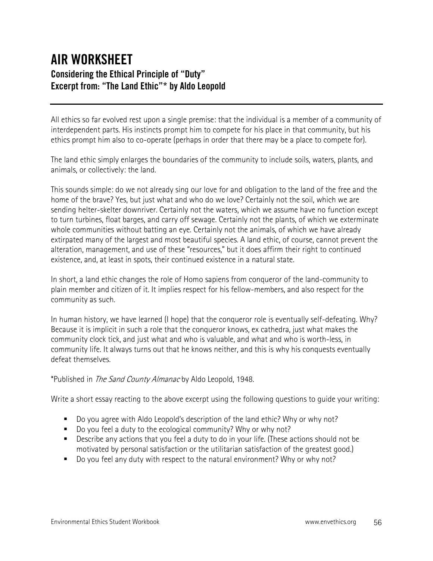# **AIR WORKSHEET Considering the Ethical Principle of "Duty" Excerpt from: "The Land Ethic"\* by Aldo Leopold**

All ethics so far evolved rest upon a single premise: that the individual is a member of a community of interdependent parts. His instincts prompt him to compete for his place in that community, but his ethics prompt him also to co-operate (perhaps in order that there may be a place to compete for).

The land ethic simply enlarges the boundaries of the community to include soils, waters, plants, and animals, or collectively: the land.

This sounds simple: do we not already sing our love for and obligation to the land of the free and the home of the brave? Yes, but just what and who do we love? Certainly not the soil, which we are sending helter-skelter downriver. Certainly not the waters, which we assume have no function except to turn turbines, float barges, and carry off sewage. Certainly not the plants, of which we exterminate whole communities without batting an eye. Certainly not the animals, of which we have already extirpated many of the largest and most beautiful species. A land ethic, of course, cannot prevent the alteration, management, and use of these "resources," but it does affirm their right to continued existence, and, at least in spots, their continued existence in a natural state.

In short, a land ethic changes the role of Homo sapiens from conqueror of the land-community to plain member and citizen of it. It implies respect for his fellow-members, and also respect for the community as such.

In human history, we have learned (I hope) that the conqueror role is eventually self-defeating. Why? Because it is implicit in such a role that the conqueror knows, ex cathedra, just what makes the community clock tick, and just what and who is valuable, and what and who is worth-less, in community life. It always turns out that he knows neither, and this is why his conquests eventually defeat themselves.

### \*Published in The Sand County Almanac by Aldo Leopold, 1948.

Write a short essay reacting to the above excerpt using the following questions to guide your writing:

- Do you agree with Aldo Leopold's description of the land ethic? Why or why not?
- Do you feel a duty to the ecological community? Why or why not?
- Describe any actions that you feel a duty to do in your life. (These actions should not be motivated by personal satisfaction or the utilitarian satisfaction of the greatest good.)
- Do you feel any duty with respect to the natural environment? Why or why not?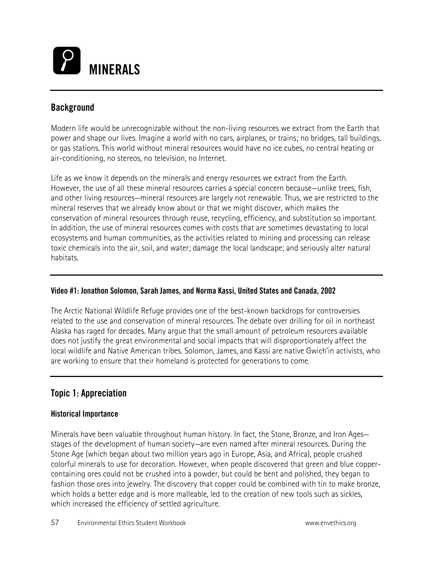

# **Background**

Modern life would be unrecognizable without the non-living resources we extract from the Earth that power and shape our lives. Imagine a world with no cars, airplanes, or trains; no bridges, tall buildings, or gas stations. This world without mineral resources would have no ice cubes, no central heating or air-conditioning, no stereos, no television, no Internet.

Life as we know it depends on the minerals and energy resources we extract from the Earth. However, the use of all these mineral resources carries a special concern because—unlike trees, fish, and other living resources—mineral resources are largely not renewable. Thus, we are restricted to the mineral reserves that we already know about or that we might discover, which makes the conservation of mineral resources through reuse, recycling, efficiency, and substitution so important. In addition, the use of mineral resources comes with costs that are sometimes devastating to local ecosystems and human communities, as the activities related to mining and processing can release toxic chemicals into the air, soil, and water; damage the local landscape; and seriously alter natural habitats.

### **Video #1: Jonathon Solomon, Sarah James, and Norma Kassi, United States and Canada, 2002**

The Arctic National Wildlife Refuge provides one of the best-known backdrops for controversies related to the use and conservation of mineral resources. The debate over drilling for oil in northeast Alaska has raged for decades. Many argue that the small amount of petroleum resources available does not justify the great environmental and social impacts that will disproportionately affect the local wildlife and Native American tribes. Solomon, James, and Kassi are native Gwich'in activists, who are working to ensure that their homeland is protected for generations to come.

# **Topic 1: Appreciation**

### **Historical Importance**

Minerals have been valuable throughout human history. In fact, the Stone, Bronze, and Iron Ages stages of the development of human society—are even named after mineral resources. During the Stone Age (which began about two million years ago in Europe, Asia, and Africa), people crushed colorful minerals to use for decoration. However, when people discovered that green and blue coppercontaining ores could not be crushed into a powder, but could be bent and polished, they began to fashion those ores into jewelry. The discovery that copper could be combined with tin to make bronze, which holds a better edge and is more malleable, led to the creation of new tools such as sickles, which increased the efficiency of settled agriculture.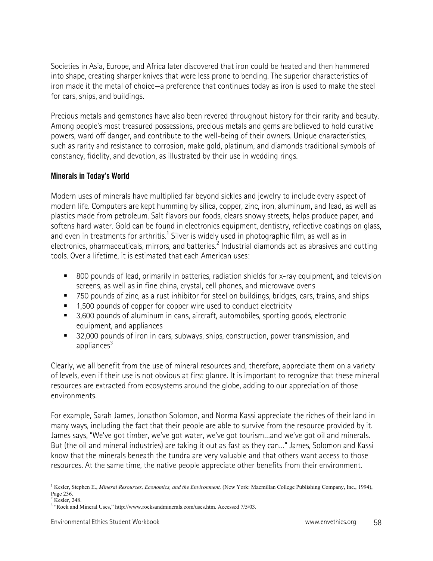Societies in Asia, Europe, and Africa later discovered that iron could be heated and then hammered into shape, creating sharper knives that were less prone to bending. The superior characteristics of iron made it the metal of choice—a preference that continues today as iron is used to make the steel for cars, ships, and buildings.

Precious metals and gemstones have also been revered throughout history for their rarity and beauty. Among people's most treasured possessions, precious metals and gems are believed to hold curative powers, ward off danger, and contribute to the well-being of their owners. Unique characteristics, such as rarity and resistance to corrosion, make gold, platinum, and diamonds traditional symbols of constancy, fidelity, and devotion, as illustrated by their use in wedding rings.

### **Minerals in Today's World**

Modern uses of minerals have multiplied far beyond sickles and jewelry to include every aspect of modern life. Computers are kept humming by silica, copper, zinc, iron, aluminum, and lead, as well as plastics made from petroleum. Salt flavors our foods, clears snowy streets, helps produce paper, and softens hard water. Gold can be found in electronics equipment, dentistry, reflective coatings on glass, and even in treatments for arthritis. $^1$  Silver is widely used in photographic film, as well as in electronics, pharmaceuticals, mirrors, and batteries. $^2$  Industrial diamonds act as abrasives and cutting tools. Over a lifetime, it is estimated that each American uses:

- 800 pounds of lead, primarily in batteries, radiation shields for x-ray equipment, and television screens, as well as in fine china, crystal, cell phones, and microwave ovens
- 750 pounds of zinc, as a rust inhibitor for steel on buildings, bridges, cars, trains, and ships
- $\blacksquare$  1,500 pounds of copper for copper wire used to conduct electricity
- 3,600 pounds of aluminum in cans, aircraft, automobiles, sporting goods, electronic equipment, and appliances
- 32,000 pounds of iron in cars, subways, ships, construction, power transmission, and appliances $3$

Clearly, we all benefit from the use of mineral resources and, therefore, appreciate them on a variety of levels, even if their use is not obvious at first glance. It is important to recognize that these mineral resources are extracted from ecosystems around the globe, adding to our appreciation of those environments.

For example, Sarah James, Jonathon Solomon, and Norma Kassi appreciate the riches of their land in many ways, including the fact that their people are able to survive from the resource provided by it. James says, "We've got timber, we've got water, we've got tourism…and we've got oil and minerals. But (the oil and mineral industries) are taking it out as fast as they can…" James, Solomon and Kassi know that the minerals beneath the tundra are very valuable and that others want access to those resources. At the same time, the native people appreciate other benefits from their environment.

 $\overline{a}$ <sup>1</sup> Kesler, Stephen E., *Mineral Resources, Economics, and the Environment*, (New York: Macmillan College Publishing Company, Inc., 1994), Page 236.

<sup>2</sup> Kesler, 248.

<sup>&</sup>lt;sup>3</sup> "Rock and Mineral Uses," http://www.rocksandminerals.com/uses.htm. Accessed 7/5/03.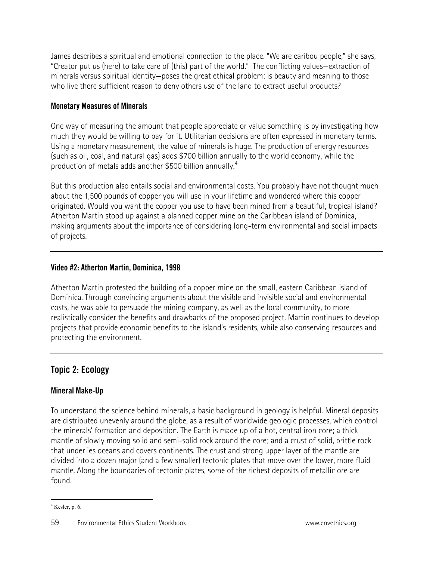James describes a spiritual and emotional connection to the place. "We are caribou people," she says, "Creator put us (here) to take care of (this) part of the world." The conflicting values—extraction of minerals versus spiritual identity—poses the great ethical problem: is beauty and meaning to those who live there sufficient reason to deny others use of the land to extract useful products?

### **Monetary Measures of Minerals**

One way of measuring the amount that people appreciate or value something is by investigating how much they would be willing to pay for it. Utilitarian decisions are often expressed in monetary terms. Using a monetary measurement, the value of minerals is huge. The production of energy resources (such as oil, coal, and natural gas) adds \$700 billion annually to the world economy, while the production of metals adds another \$500 billion annually.<sup>4</sup>

But this production also entails social and environmental costs. You probably have not thought much about the 1,500 pounds of copper you will use in your lifetime and wondered where this copper originated. Would you want the copper you use to have been mined from a beautiful, tropical island? Atherton Martin stood up against a planned copper mine on the Caribbean island of Dominica, making arguments about the importance of considering long-term environmental and social impacts of projects.

### **Video #2: Atherton Martin, Dominica, 1998**

Atherton Martin protested the building of a copper mine on the small, eastern Caribbean island of Dominica. Through convincing arguments about the visible and invisible social and environmental costs, he was able to persuade the mining company, as well as the local community, to more realistically consider the benefits and drawbacks of the proposed project. Martin continues to develop projects that provide economic benefits to the island's residents, while also conserving resources and protecting the environment.

# **Topic 2: Ecology**

## **Mineral Make-Up**

To understand the science behind minerals, a basic background in geology is helpful. Mineral deposits are distributed unevenly around the globe, as a result of worldwide geologic processes, which control the minerals' formation and deposition. The Earth is made up of a hot, central iron core; a thick mantle of slowly moving solid and semi-solid rock around the core; and a crust of solid, brittle rock that underlies oceans and covers continents. The crust and strong upper layer of the mantle are divided into a dozen major (and a few smaller) tectonic plates that move over the lower, more fluid mantle. Along the boundaries of tectonic plates, some of the richest deposits of metallic ore are found.

<sup>1</sup>  $4$  Kesler, p. 6.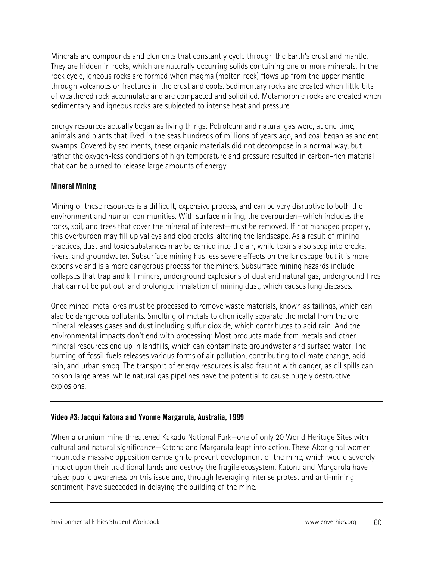Minerals are compounds and elements that constantly cycle through the Earth's crust and mantle. They are hidden in rocks, which are naturally occurring solids containing one or more minerals. In the rock cycle, igneous rocks are formed when magma (molten rock) flows up from the upper mantle through volcanoes or fractures in the crust and cools. Sedimentary rocks are created when little bits of weathered rock accumulate and are compacted and solidified. Metamorphic rocks are created when sedimentary and igneous rocks are subjected to intense heat and pressure.

Energy resources actually began as living things: Petroleum and natural gas were, at one time, animals and plants that lived in the seas hundreds of millions of years ago, and coal began as ancient swamps. Covered by sediments, these organic materials did not decompose in a normal way, but rather the oxygen-less conditions of high temperature and pressure resulted in carbon-rich material that can be burned to release large amounts of energy.

### **Mineral Mining**

Mining of these resources is a difficult, expensive process, and can be very disruptive to both the environment and human communities. With surface mining, the overburden—which includes the rocks, soil, and trees that cover the mineral of interest—must be removed. If not managed properly, this overburden may fill up valleys and clog creeks, altering the landscape. As a result of mining practices, dust and toxic substances may be carried into the air, while toxins also seep into creeks, rivers, and groundwater. Subsurface mining has less severe effects on the landscape, but it is more expensive and is a more dangerous process for the miners. Subsurface mining hazards include collapses that trap and kill miners, underground explosions of dust and natural gas, underground fires that cannot be put out, and prolonged inhalation of mining dust, which causes lung diseases.

Once mined, metal ores must be processed to remove waste materials, known as tailings, which can also be dangerous pollutants. Smelting of metals to chemically separate the metal from the ore mineral releases gases and dust including sulfur dioxide, which contributes to acid rain. And the environmental impacts don't end with processing: Most products made from metals and other mineral resources end up in landfills, which can contaminate groundwater and surface water. The burning of fossil fuels releases various forms of air pollution, contributing to climate change, acid rain, and urban smog. The transport of energy resources is also fraught with danger, as oil spills can poison large areas, while natural gas pipelines have the potential to cause hugely destructive explosions.

### **Video #3: Jacqui Katona and Yvonne Margarula, Australia, 1999**

When a uranium mine threatened Kakadu National Park—one of only 20 World Heritage Sites with cultural and natural significance—Katona and Margarula leapt into action. These Aboriginal women mounted a massive opposition campaign to prevent development of the mine, which would severely impact upon their traditional lands and destroy the fragile ecosystem. Katona and Margarula have raised public awareness on this issue and, through leveraging intense protest and anti-mining sentiment, have succeeded in delaying the building of the mine.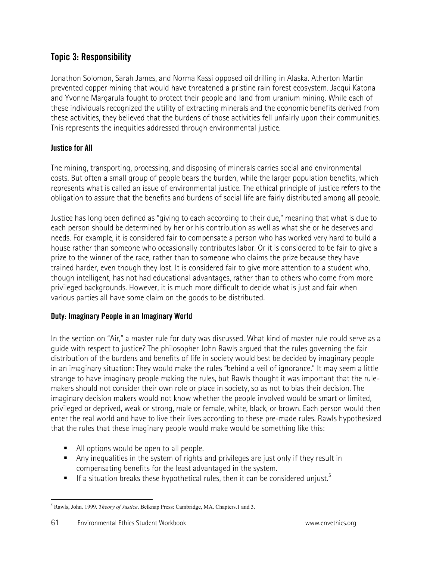# **Topic 3: Responsibility**

Jonathon Solomon, Sarah James, and Norma Kassi opposed oil drilling in Alaska. Atherton Martin prevented copper mining that would have threatened a pristine rain forest ecosystem. Jacqui Katona and Yvonne Margarula fought to protect their people and land from uranium mining. While each of these individuals recognized the utility of extracting minerals and the economic benefits derived from these activities, they believed that the burdens of those activities fell unfairly upon their communities. This represents the inequities addressed through environmental justice.

## **Justice for All**

The mining, transporting, processing, and disposing of minerals carries social and environmental costs. But often a small group of people bears the burden, while the larger population benefits, which represents what is called an issue of environmental justice. The ethical principle of justice refers to the obligation to assure that the benefits and burdens of social life are fairly distributed among all people.

Justice has long been defined as "giving to each according to their due," meaning that what is due to each person should be determined by her or his contribution as well as what she or he deserves and needs. For example, it is considered fair to compensate a person who has worked very hard to build a house rather than someone who occasionally contributes labor. Or it is considered to be fair to give a prize to the winner of the race, rather than to someone who claims the prize because they have trained harder, even though they lost. It is considered fair to give more attention to a student who, though intelligent, has not had educational advantages, rather than to others who come from more privileged backgrounds. However, it is much more difficult to decide what is just and fair when various parties all have some claim on the goods to be distributed.

## **Duty: Imaginary People in an Imaginary World**

In the section on "Air," a master rule for duty was discussed. What kind of master rule could serve as a guide with respect to justice? The philosopher John Rawls argued that the rules governing the fair distribution of the burdens and benefits of life in society would best be decided by imaginary people in an imaginary situation: They would make the rules "behind a veil of ignorance." It may seem a little strange to have imaginary people making the rules, but Rawls thought it was important that the rulemakers should not consider their own role or place in society, so as not to bias their decision. The imaginary decision makers would not know whether the people involved would be smart or limited, privileged or deprived, weak or strong, male or female, white, black, or brown. Each person would then enter the real world and have to live their lives according to these pre-made rules. Rawls hypothesized that the rules that these imaginary people would make would be something like this:

- All options would be open to all people.
- Any inequalities in the system of rights and privileges are just only if they result in compensating benefits for the least advantaged in the system.
- If a situation breaks these hypothetical rules, then it can be considered unjust.<sup>5</sup>

 $\overline{a}$ 5 Rawls, John. 1999. *Theory of Justice*. Belknap Press: Cambridge, MA. Chapters.1 and 3.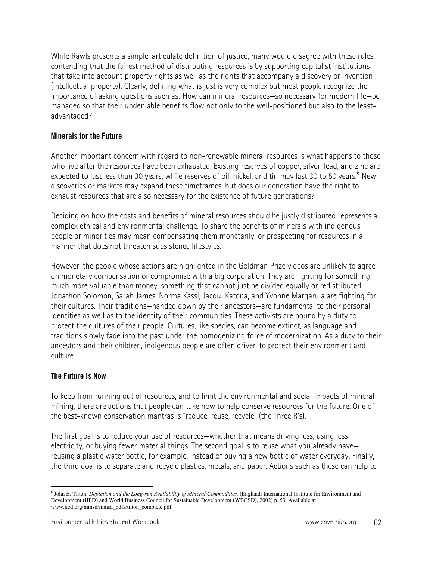While Rawls presents a simple, articulate definition of justice, many would disagree with these rules, contending that the fairest method of distributing resources is by supporting capitalist institutions that take into account property rights as well as the rights that accompany a discovery or invention (intellectual property). Clearly, defining what is just is very complex but most people recognize the importance of asking questions such as: How can mineral resources—so necessary for modern life—be managed so that their undeniable benefits flow not only to the well-positioned but also to the leastadvantaged?

### **Minerals for the Future**

Another important concern with regard to non-renewable mineral resources is what happens to those who live after the resources have been exhausted. Existing reserves of copper, silver, lead, and zinc are expected to last less than 30 years, while reserves of oil, nickel, and tin may last 30 to 50 years.<sup>6</sup> New discoveries or markets may expand these timeframes, but does our generation have the right to exhaust resources that are also necessary for the existence of future generations?

Deciding on how the costs and benefits of mineral resources should be justly distributed represents a complex ethical and environmental challenge. To share the benefits of minerals with indigenous people or minorities may mean compensating them monetarily, or prospecting for resources in a manner that does not threaten subsistence lifestyles.

However, the people whose actions are highlighted in the Goldman Prize videos are unlikely to agree on monetary compensation or compromise with a big corporation. They are fighting for something much more valuable than money, something that cannot just be divided equally or redistributed. Jonathon Solomon, Sarah James, Norma Kassi, Jacqui Katona, and Yvonne Margarula are fighting for their cultures. Their traditions—handed down by their ancestors—are fundamental to their personal identities as well as to the identity of their communities. These activists are bound by a duty to protect the cultures of their people. Cultures, like species, can become extinct, as language and traditions slowly fade into the past under the homogenizing force of modernization. As a duty to their ancestors and their children, indigenous people are often driven to protect their environment and culture.

### **The Future Is Now**

To keep from running out of resources, and to limit the environmental and social impacts of mineral mining, there are actions that people can take now to help conserve resources for the future. One of the best-known conservation mantras is "reduce, reuse, recycle" (the Three R's).

The first goal is to reduce your use of resources—whether that means driving less, using less electricity, or buying fewer material things. The second goal is to reuse what you already have reusing a plastic water bottle, for example, instead of buying a new bottle of water everyday. Finally, the third goal is to separate and recycle plastics, metals, and paper. Actions such as these can help to

 $\overline{a}$ <sup>6</sup> John E. Tilton, *Depletion and the Long-run Availability of Mineral Commodities, (England: International Institute for Environment and* Development (IIED) and World Business Council for Sustainable Development (WBCSD), 2002) p. 53. Available at www.iied.org/mmsd/mmsd\_pdfs/tilton\_complete.pdf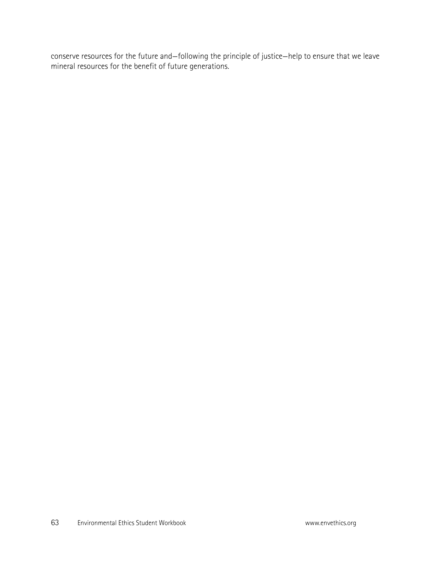conserve resources for the future and—following the principle of justice—help to ensure that we leave mineral resources for the benefit of future generations.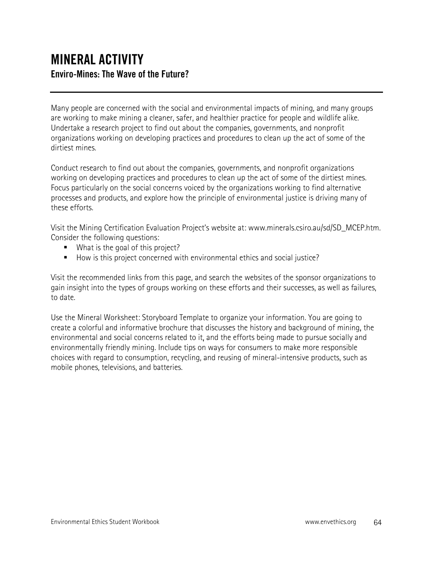# **MINERAL ACTIVITY Enviro-Mines: The Wave of the Future?**

Many people are concerned with the social and environmental impacts of mining, and many groups are working to make mining a cleaner, safer, and healthier practice for people and wildlife alike. Undertake a research project to find out about the companies, governments, and nonprofit organizations working on developing practices and procedures to clean up the act of some of the dirtiest mines.

Conduct research to find out about the companies, governments, and nonprofit organizations working on developing practices and procedures to clean up the act of some of the dirtiest mines. Focus particularly on the social concerns voiced by the organizations working to find alternative processes and products, and explore how the principle of environmental justice is driving many of these efforts.

Visit the Mining Certification Evaluation Project's website at: www.minerals.csiro.au/sd/SD\_MCEP.htm. Consider the following questions:

- What is the goal of this project?
- How is this project concerned with environmental ethics and social justice?

Visit the recommended links from this page, and search the websites of the sponsor organizations to gain insight into the types of groups working on these efforts and their successes, as well as failures, to date.

Use the Mineral Worksheet: Storyboard Template to organize your information. You are going to create a colorful and informative brochure that discusses the history and background of mining, the environmental and social concerns related to it, and the efforts being made to pursue socially and environmentally friendly mining. Include tips on ways for consumers to make more responsible choices with regard to consumption, recycling, and reusing of mineral-intensive products, such as mobile phones, televisions, and batteries.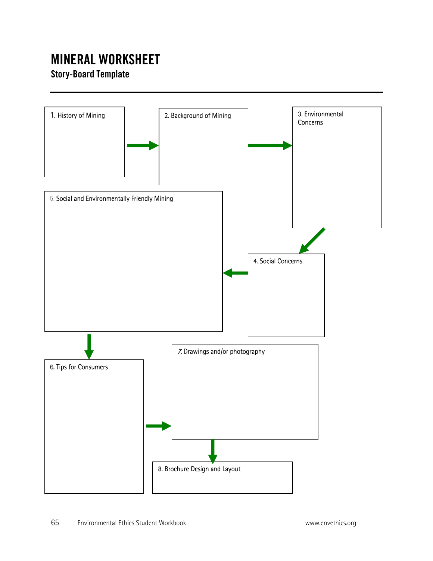# **MINERAL WORKSHEET**

# **Story-Board Template**

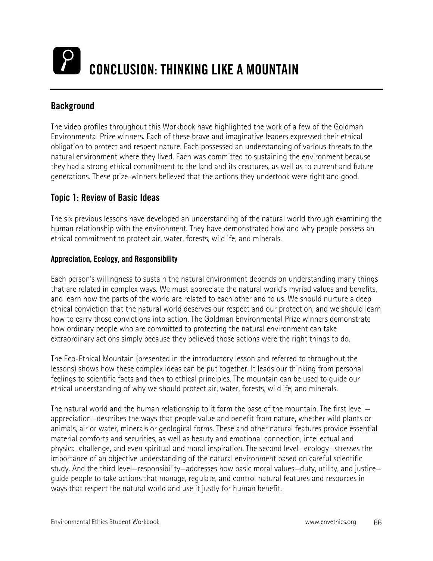# $\mathcal{P}$ **CONCLUSION: THINKING LIKE A MOUNTAIN**

# **Background**

The video profiles throughout this Workbook have highlighted the work of a few of the Goldman Environmental Prize winners. Each of these brave and imaginative leaders expressed their ethical obligation to protect and respect nature. Each possessed an understanding of various threats to the natural environment where they lived. Each was committed to sustaining the environment because they had a strong ethical commitment to the land and its creatures, as well as to current and future generations. These prize-winners believed that the actions they undertook were right and good.

# **Topic 1: Review of Basic Ideas**

The six previous lessons have developed an understanding of the natural world through examining the human relationship with the environment. They have demonstrated how and why people possess an ethical commitment to protect air, water, forests, wildlife, and minerals.

### **Appreciation, Ecology, and Responsibility**

Each person's willingness to sustain the natural environment depends on understanding many things that are related in complex ways. We must appreciate the natural world's myriad values and benefits, and learn how the parts of the world are related to each other and to us. We should nurture a deep ethical conviction that the natural world deserves our respect and our protection, and we should learn how to carry those convictions into action. The Goldman Environmental Prize winners demonstrate how ordinary people who are committed to protecting the natural environment can take extraordinary actions simply because they believed those actions were the right things to do.

The Eco-Ethical Mountain (presented in the introductory lesson and referred to throughout the lessons) shows how these complex ideas can be put together. It leads our thinking from personal feelings to scientific facts and then to ethical principles. The mountain can be used to guide our ethical understanding of why we should protect air, water, forests, wildlife, and minerals.

The natural world and the human relationship to it form the base of the mountain. The first level appreciation—describes the ways that people value and benefit from nature, whether wild plants or animals, air or water, minerals or geological forms. These and other natural features provide essential material comforts and securities, as well as beauty and emotional connection, intellectual and physical challenge, and even spiritual and moral inspiration. The second level—ecology—stresses the importance of an objective understanding of the natural environment based on careful scientific study. And the third level—responsibility—addresses how basic moral values—duty, utility, and justice guide people to take actions that manage, regulate, and control natural features and resources in ways that respect the natural world and use it justly for human benefit.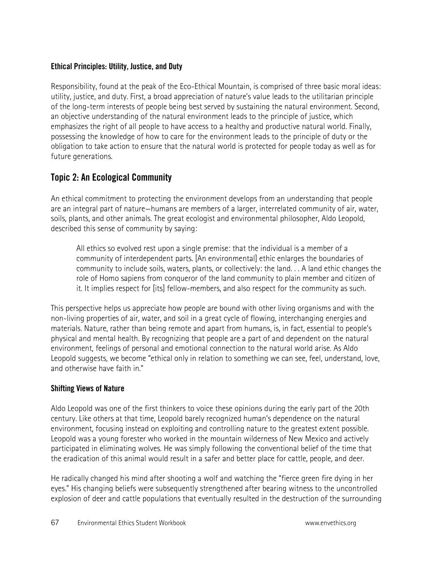### **Ethical Principles: Utility, Justice, and Duty**

Responsibility, found at the peak of the Eco-Ethical Mountain, is comprised of three basic moral ideas: utility, justice, and duty. First, a broad appreciation of nature's value leads to the utilitarian principle of the long-term interests of people being best served by sustaining the natural environment. Second, an objective understanding of the natural environment leads to the principle of justice, which emphasizes the right of all people to have access to a healthy and productive natural world. Finally, possessing the knowledge of how to care for the environment leads to the principle of duty or the obligation to take action to ensure that the natural world is protected for people today as well as for future generations.

# **Topic 2: An Ecological Community**

An ethical commitment to protecting the environment develops from an understanding that people are an integral part of nature—humans are members of a larger, interrelated community of air, water, soils, plants, and other animals. The great ecologist and environmental philosopher, Aldo Leopold, described this sense of community by saying:

All ethics so evolved rest upon a single premise: that the individual is a member of a community of interdependent parts. [An environmental] ethic enlarges the boundaries of community to include soils, waters, plants, or collectively: the land. . . A land ethic changes the role of Homo sapiens from conqueror of the land community to plain member and citizen of it. It implies respect for [its] fellow-members, and also respect for the community as such.

This perspective helps us appreciate how people are bound with other living organisms and with the non-living properties of air, water, and soil in a great cycle of flowing, interchanging energies and materials. Nature, rather than being remote and apart from humans, is, in fact, essential to people's physical and mental health. By recognizing that people are a part of and dependent on the natural environment, feelings of personal and emotional connection to the natural world arise. As Aldo Leopold suggests, we become "ethical only in relation to something we can see, feel, understand, love, and otherwise have faith in."

### **Shifting Views of Nature**

Aldo Leopold was one of the first thinkers to voice these opinions during the early part of the 20th century. Like others at that time, Leopold barely recognized human's dependence on the natural environment, focusing instead on exploiting and controlling nature to the greatest extent possible. Leopold was a young forester who worked in the mountain wilderness of New Mexico and actively participated in eliminating wolves. He was simply following the conventional belief of the time that the eradication of this animal would result in a safer and better place for cattle, people, and deer.

He radically changed his mind after shooting a wolf and watching the "fierce green fire dying in her eyes." His changing beliefs were subsequently strengthened after bearing witness to the uncontrolled explosion of deer and cattle populations that eventually resulted in the destruction of the surrounding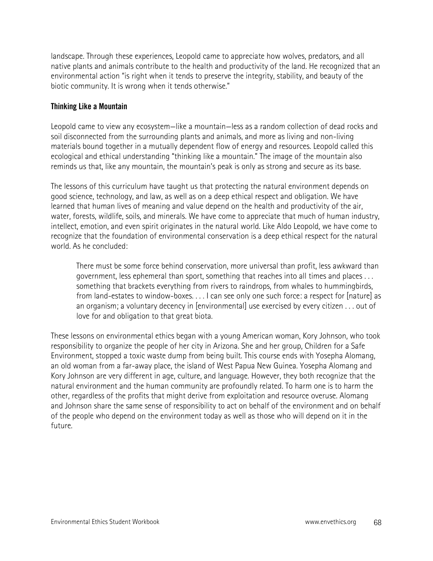landscape. Through these experiences, Leopold came to appreciate how wolves, predators, and all native plants and animals contribute to the health and productivity of the land. He recognized that an environmental action "is right when it tends to preserve the integrity, stability, and beauty of the biotic community. It is wrong when it tends otherwise."

### **Thinking Like a Mountain**

Leopold came to view any ecosystem—like a mountain—less as a random collection of dead rocks and soil disconnected from the surrounding plants and animals, and more as living and non-living materials bound together in a mutually dependent flow of energy and resources. Leopold called this ecological and ethical understanding "thinking like a mountain." The image of the mountain also reminds us that, like any mountain, the mountain's peak is only as strong and secure as its base.

The lessons of this curriculum have taught us that protecting the natural environment depends on good science, technology, and law, as well as on a deep ethical respect and obligation. We have learned that human lives of meaning and value depend on the health and productivity of the air, water, forests, wildlife, soils, and minerals. We have come to appreciate that much of human industry, intellect, emotion, and even spirit originates in the natural world. Like Aldo Leopold, we have come to recognize that the foundation of environmental conservation is a deep ethical respect for the natural world. As he concluded:

There must be some force behind conservation, more universal than profit, less awkward than government, less ephemeral than sport, something that reaches into all times and places . . . something that brackets everything from rivers to raindrops, from whales to hummingbirds, from land-estates to window-boxes. . . . I can see only one such force: a respect for [nature] as an organism; a voluntary decency in [environmental] use exercised by every citizen . . . out of love for and obligation to that great biota.

These lessons on environmental ethics began with a young American woman, Kory Johnson, who took responsibility to organize the people of her city in Arizona. She and her group, Children for a Safe Environment, stopped a toxic waste dump from being built. This course ends with Yosepha Alomang, an old woman from a far-away place, the island of West Papua New Guinea. Yosepha Alomang and Kory Johnson are very different in age, culture, and language. However, they both recognize that the natural environment and the human community are profoundly related. To harm one is to harm the other, regardless of the profits that might derive from exploitation and resource overuse. Alomang and Johnson share the same sense of responsibility to act on behalf of the environment and on behalf of the people who depend on the environment today as well as those who will depend on it in the future.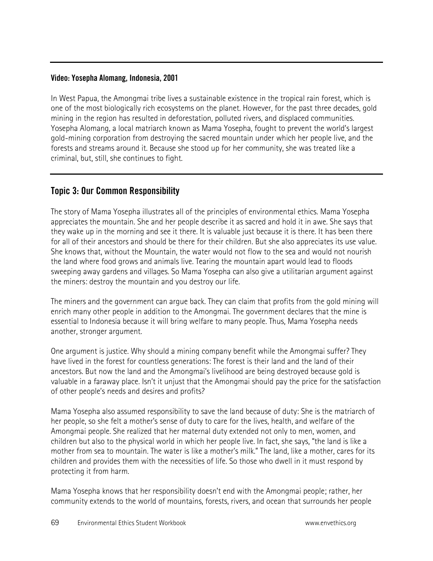### **Video: Yosepha Alomang, Indonesia, 2001**

In West Papua, the Amongmai tribe lives a sustainable existence in the tropical rain forest, which is one of the most biologically rich ecosystems on the planet. However, for the past three decades, gold mining in the region has resulted in deforestation, polluted rivers, and displaced communities. Yosepha Alomang, a local matriarch known as Mama Yosepha, fought to prevent the world's largest gold-mining corporation from destroying the sacred mountain under which her people live, and the forests and streams around it. Because she stood up for her community, she was treated like a criminal, but, still, she continues to fight.

# **Topic 3: Our Common Responsibility**

The story of Mama Yosepha illustrates all of the principles of environmental ethics. Mama Yosepha appreciates the mountain. She and her people describe it as sacred and hold it in awe. She says that they wake up in the morning and see it there. It is valuable just because it is there. It has been there for all of their ancestors and should be there for their children. But she also appreciates its use value. She knows that, without the Mountain, the water would not flow to the sea and would not nourish the land where food grows and animals live. Tearing the mountain apart would lead to floods sweeping away gardens and villages. So Mama Yosepha can also give a utilitarian argument against the miners: destroy the mountain and you destroy our life.

The miners and the government can argue back. They can claim that profits from the gold mining will enrich many other people in addition to the Amongmai. The government declares that the mine is essential to Indonesia because it will bring welfare to many people. Thus, Mama Yosepha needs another, stronger argument.

One argument is justice. Why should a mining company benefit while the Amongmai suffer? They have lived in the forest for countless generations: The forest is their land and the land of their ancestors. But now the land and the Amongmai's livelihood are being destroyed because gold is valuable in a faraway place. Isn't it unjust that the Amongmai should pay the price for the satisfaction of other people's needs and desires and profits?

Mama Yosepha also assumed responsibility to save the land because of duty: She is the matriarch of her people, so she felt a mother's sense of duty to care for the lives, health, and welfare of the Amongmai people. She realized that her maternal duty extended not only to men, women, and children but also to the physical world in which her people live. In fact, she says, "the land is like a mother from sea to mountain. The water is like a mother's milk." The land, like a mother, cares for its children and provides them with the necessities of life. So those who dwell in it must respond by protecting it from harm.

Mama Yosepha knows that her responsibility doesn't end with the Amongmai people; rather, her community extends to the world of mountains, forests, rivers, and ocean that surrounds her people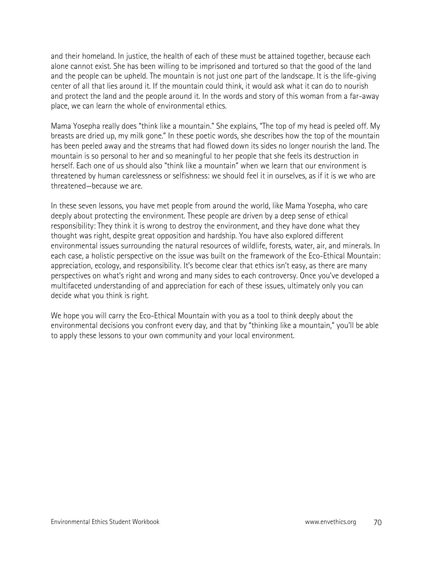and their homeland. In justice, the health of each of these must be attained together, because each alone cannot exist. She has been willing to be imprisoned and tortured so that the good of the land and the people can be upheld. The mountain is not just one part of the landscape. It is the life-giving center of all that lies around it. If the mountain could think, it would ask what it can do to nourish and protect the land and the people around it. In the words and story of this woman from a far-away place, we can learn the whole of environmental ethics.

Mama Yosepha really does "think like a mountain." She explains, "The top of my head is peeled off. My breasts are dried up, my milk gone." In these poetic words, she describes how the top of the mountain has been peeled away and the streams that had flowed down its sides no longer nourish the land. The mountain is so personal to her and so meaningful to her people that she feels its destruction in herself. Each one of us should also "think like a mountain" when we learn that our environment is threatened by human carelessness or selfishness: we should feel it in ourselves, as if it is we who are threatened—because we are.

In these seven lessons, you have met people from around the world, like Mama Yosepha, who care deeply about protecting the environment. These people are driven by a deep sense of ethical responsibility: They think it is wrong to destroy the environment, and they have done what they thought was right, despite great opposition and hardship. You have also explored different environmental issues surrounding the natural resources of wildlife, forests, water, air, and minerals. In each case, a holistic perspective on the issue was built on the framework of the Eco-Ethical Mountain: appreciation, ecology, and responsibility. It's become clear that ethics isn't easy, as there are many perspectives on what's right and wrong and many sides to each controversy. Once you've developed a multifaceted understanding of and appreciation for each of these issues, ultimately only you can decide what you think is right.

We hope you will carry the Eco-Ethical Mountain with you as a tool to think deeply about the environmental decisions you confront every day, and that by "thinking like a mountain," you'll be able to apply these lessons to your own community and your local environment.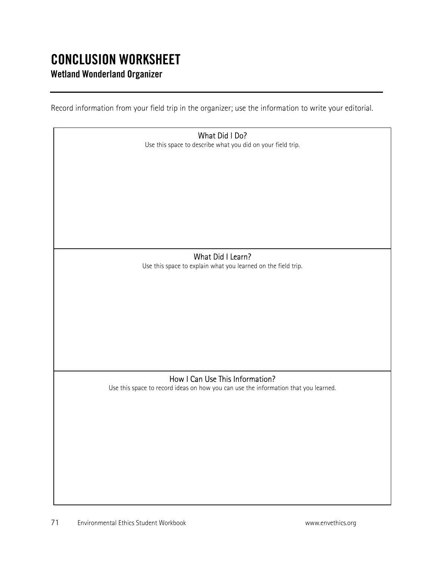## **CONCLUSION WORKSHEET Wetland Wonderland Organizer**

Record information from your field trip in the organizer; use the information to write your editorial.

| What Did I Do?                                                                      |
|-------------------------------------------------------------------------------------|
| Use this space to describe what you did on your field trip.                         |
|                                                                                     |
|                                                                                     |
|                                                                                     |
|                                                                                     |
|                                                                                     |
|                                                                                     |
|                                                                                     |
|                                                                                     |
|                                                                                     |
|                                                                                     |
|                                                                                     |
|                                                                                     |
|                                                                                     |
| What Did I Learn?                                                                   |
|                                                                                     |
| Use this space to explain what you learned on the field trip.                       |
|                                                                                     |
|                                                                                     |
|                                                                                     |
|                                                                                     |
|                                                                                     |
|                                                                                     |
|                                                                                     |
|                                                                                     |
|                                                                                     |
|                                                                                     |
|                                                                                     |
|                                                                                     |
|                                                                                     |
| How I Can Use This Information?                                                     |
| Use this space to record ideas on how you can use the information that you learned. |
|                                                                                     |
|                                                                                     |
|                                                                                     |
|                                                                                     |
|                                                                                     |
|                                                                                     |
|                                                                                     |
|                                                                                     |
|                                                                                     |
|                                                                                     |
|                                                                                     |
|                                                                                     |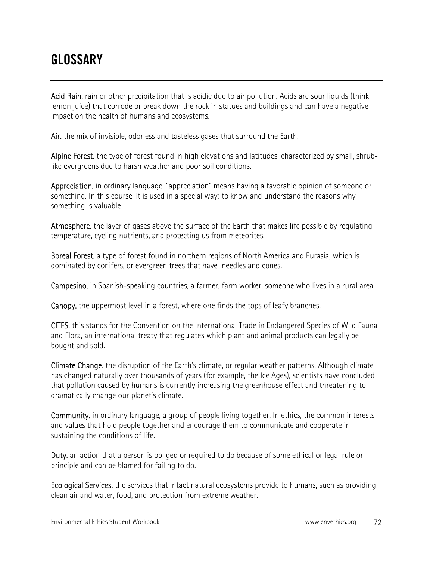## **GLOSSARY**

Acid Rain, rain or other precipitation that is acidic due to air pollution. Acids are sour liquids (think lemon juice) that corrode or break down the rock in statues and buildings and can have a negative impact on the health of humans and ecosystems.

Air. the mix of invisible, odorless and tasteless gases that surround the Earth.

Alpine Forest. the type of forest found in high elevations and latitudes, characterized by small, shrublike evergreens due to harsh weather and poor soil conditions.

Appreciation. in ordinary language, "appreciation" means having a favorable opinion of someone or something. In this course, it is used in a special way: to know and understand the reasons why something is valuable.

Atmosphere. the layer of gases above the surface of the Earth that makes life possible by regulating temperature, cycling nutrients, and protecting us from meteorites.

Boreal Forest. a type of forest found in northern regions of North America and Eurasia, which is dominated by conifers, or evergreen trees that have needles and cones.

Campesino. in Spanish-speaking countries, a farmer, farm worker, someone who lives in a rural area.

Canopy. the uppermost level in a forest, where one finds the tops of leafy branches.

CITES. this stands for the Convention on the International Trade in Endangered Species of Wild Fauna and Flora, an international treaty that regulates which plant and animal products can legally be bought and sold.

Climate Change. the disruption of the Earth's climate, or regular weather patterns. Although climate has changed naturally over thousands of years (for example, the Ice Ages), scientists have concluded that pollution caused by humans is currently increasing the greenhouse effect and threatening to dramatically change our planet's climate.

Community. in ordinary language, a group of people living together. In ethics, the common interests and values that hold people together and encourage them to communicate and cooperate in sustaining the conditions of life.

Duty. an action that a person is obliged or required to do because of some ethical or legal rule or principle and can be blamed for failing to do.

Ecological Services. the services that intact natural ecosystems provide to humans, such as providing clean air and water, food, and protection from extreme weather.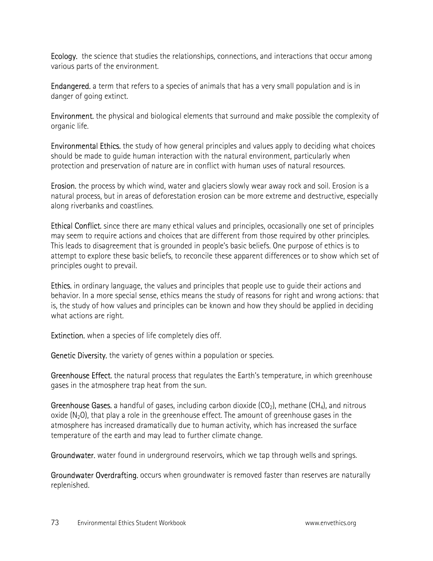Ecology. the science that studies the relationships, connections, and interactions that occur among various parts of the environment.

Endangered. a term that refers to a species of animals that has a very small population and is in danger of going extinct.

Environment. the physical and biological elements that surround and make possible the complexity of organic life.

Environmental Ethics. the study of how general principles and values apply to deciding what choices should be made to guide human interaction with the natural environment, particularly when protection and preservation of nature are in conflict with human uses of natural resources.

Erosion. the process by which wind, water and glaciers slowly wear away rock and soil. Erosion is a natural process, but in areas of deforestation erosion can be more extreme and destructive, especially along riverbanks and coastlines.

Ethical Conflict. since there are many ethical values and principles, occasionally one set of principles may seem to require actions and choices that are different from those required by other principles. This leads to disagreement that is grounded in people's basic beliefs. One purpose of ethics is to attempt to explore these basic beliefs, to reconcile these apparent differences or to show which set of principles ought to prevail.

Ethics. in ordinary language, the values and principles that people use to guide their actions and behavior. In a more special sense, ethics means the study of reasons for right and wrong actions: that is, the study of how values and principles can be known and how they should be applied in deciding what actions are right.

**Extinction.** when a species of life completely dies off.

Genetic Diversity, the variety of genes within a population or species.

Greenhouse Effect. the natural process that regulates the Earth's temperature, in which greenhouse gases in the atmosphere trap heat from the sun.

Greenhouse Gases. a handful of gases, including carbon dioxide  $(CO_2)$ , methane  $(CH_4)$ , and nitrous oxide  $(N<sub>2</sub>O)$ , that play a role in the greenhouse effect. The amount of greenhouse gases in the atmosphere has increased dramatically due to human activity, which has increased the surface temperature of the earth and may lead to further climate change.

Groundwater. water found in underground reservoirs, which we tap through wells and springs.

Groundwater Overdrafting. occurs when groundwater is removed faster than reserves are naturally replenished.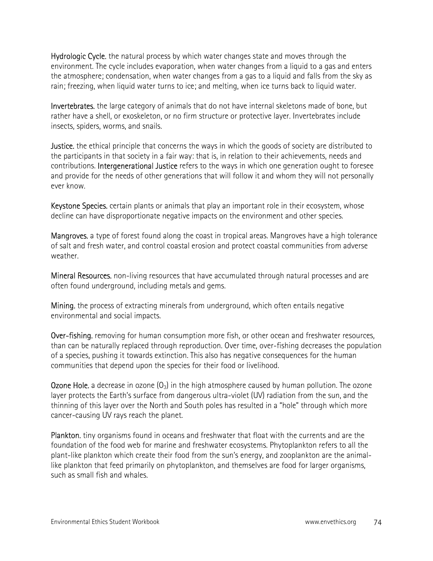Hydrologic Cycle. the natural process by which water changes state and moves through the environment. The cycle includes evaporation, when water changes from a liquid to a gas and enters the atmosphere; condensation, when water changes from a gas to a liquid and falls from the sky as rain; freezing, when liquid water turns to ice; and melting, when ice turns back to liquid water.

Invertebrates. the large category of animals that do not have internal skeletons made of bone, but rather have a shell, or exoskeleton, or no firm structure or protective layer. Invertebrates include insects, spiders, worms, and snails.

**Justice.** the ethical principle that concerns the ways in which the goods of society are distributed to the participants in that society in a fair way: that is, in relation to their achievements, needs and contributions. Intergenerational Justice refers to the ways in which one generation ought to foresee and provide for the needs of other generations that will follow it and whom they will not personally ever know.

Keystone Species. certain plants or animals that play an important role in their ecosystem, whose decline can have disproportionate negative impacts on the environment and other species.

Mangroves. a type of forest found along the coast in tropical areas. Mangroves have a high tolerance of salt and fresh water, and control coastal erosion and protect coastal communities from adverse weather.

Mineral Resources. non-living resources that have accumulated through natural processes and are often found underground, including metals and gems.

Mining. the process of extracting minerals from underground, which often entails negative environmental and social impacts.

Over-fishing. removing for human consumption more fish, or other ocean and freshwater resources, than can be naturally replaced through reproduction. Over time, over-fishing decreases the population of a species, pushing it towards extinction. This also has negative consequences for the human communities that depend upon the species for their food or livelihood.

**Ozone Hole.** a decrease in ozone  $(0<sub>3</sub>)$  in the high atmosphere caused by human pollution. The ozone layer protects the Earth's surface from dangerous ultra-violet (UV) radiation from the sun, and the thinning of this layer over the North and South poles has resulted in a "hole" through which more cancer-causing UV rays reach the planet.

Plankton. tiny organisms found in oceans and freshwater that float with the currents and are the foundation of the food web for marine and freshwater ecosystems. Phytoplankton refers to all the plant-like plankton which create their food from the sun's energy, and zooplankton are the animallike plankton that feed primarily on phytoplankton, and themselves are food for larger organisms, such as small fish and whales.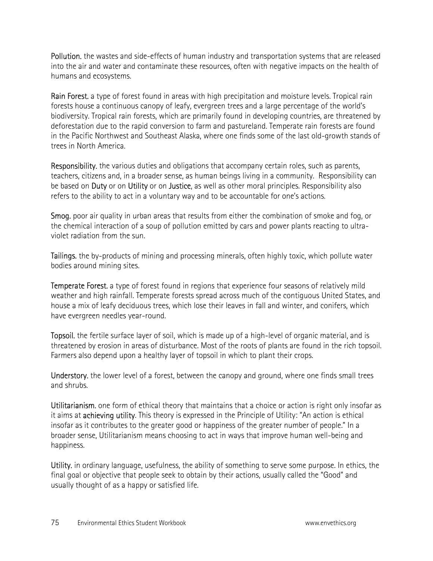Pollution. the wastes and side-effects of human industry and transportation systems that are released into the air and water and contaminate these resources, often with negative impacts on the health of humans and ecosystems.

Rain Forest. a type of forest found in areas with high precipitation and moisture levels. Tropical rain forests house a continuous canopy of leafy, evergreen trees and a large percentage of the world's biodiversity. Tropical rain forests, which are primarily found in developing countries, are threatened by deforestation due to the rapid conversion to farm and pastureland. Temperate rain forests are found in the Pacific Northwest and Southeast Alaska, where one finds some of the last old-growth stands of trees in North America.

Responsibility. the various duties and obligations that accompany certain roles, such as parents, teachers, citizens and, in a broader sense, as human beings living in a community. Responsibility can be based on Duty or on Utility or on Justice, as well as other moral principles. Responsibility also refers to the ability to act in a voluntary way and to be accountable for one's actions.

Smog. poor air quality in urban areas that results from either the combination of smoke and fog, or the chemical interaction of a soup of pollution emitted by cars and power plants reacting to ultraviolet radiation from the sun.

Tailings. the by-products of mining and processing minerals, often highly toxic, which pollute water bodies around mining sites.

**Temperate Forest.** a type of forest found in regions that experience four seasons of relatively mild weather and high rainfall. Temperate forests spread across much of the contiguous United States, and house a mix of leafy deciduous trees, which lose their leaves in fall and winter, and conifers, which have evergreen needles year-round.

Topsoil. the fertile surface layer of soil, which is made up of a high-level of organic material, and is threatened by erosion in areas of disturbance. Most of the roots of plants are found in the rich topsoil. Farmers also depend upon a healthy layer of topsoil in which to plant their crops.

Understory, the lower level of a forest, between the canopy and ground, where one finds small trees and shrubs.

Utilitarianism. one form of ethical theory that maintains that a choice or action is right only insofar as it aims at **achieving utility**. This theory is expressed in the Principle of Utility: "An action is ethical insofar as it contributes to the greater good or happiness of the greater number of people." In a broader sense, Utilitarianism means choosing to act in ways that improve human well-being and happiness.

Utility. in ordinary language, usefulness, the ability of something to serve some purpose. In ethics, the final goal or objective that people seek to obtain by their actions, usually called the "Good" and usually thought of as a happy or satisfied life.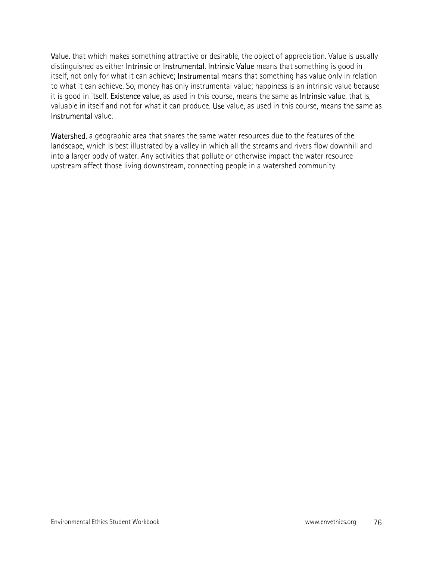Value. that which makes something attractive or desirable, the object of appreciation. Value is usually distinguished as either Intrinsic or Instrumental. Intrinsic Value means that something is good in itself, not only for what it can achieve; Instrumental means that something has value only in relation to what it can achieve. So, money has only instrumental value; happiness is an intrinsic value because it is good in itself. Existence value, as used in this course, means the same as Intrinsic value, that is, valuable in itself and not for what it can produce. Use value, as used in this course, means the same as Instrumental value.

Watershed. a geographic area that shares the same water resources due to the features of the landscape, which is best illustrated by a valley in which all the streams and rivers flow downhill and into a larger body of water. Any activities that pollute or otherwise impact the water resource upstream affect those living downstream, connecting people in a watershed community.